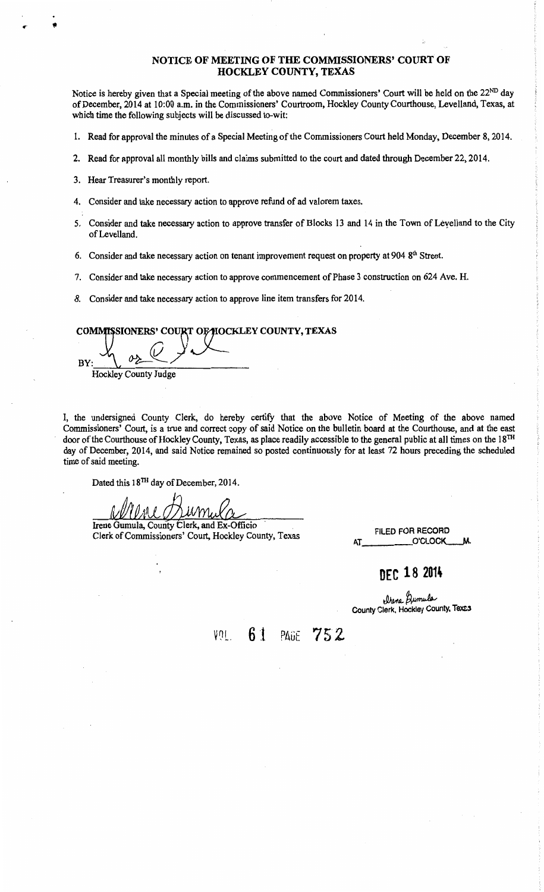### NOTICE OF MEETING OF THE COMMISSIONERS' COURT OF HOCKLEY COUNTY, TEXAS

Notice is hereby given that a Special meeting of the above named Commissioners' Court will be held on the 22<sup>ND</sup> day of December, 2014 at 10:00 a.m. in the Commissioners' Courtroom, Hockley County Courthouse, Levelland, Texas, at which time the following subjects will be discussed to-wit:

1. Read for approval the minutes of a Special Meeting of the Commissioners Court held Monday, December 8, 2014.

- 2. Read for approval all monthly bills and claims submitted to the court and dated through December 22, 2014.
- 3. Hear Treasurer's monthly report.

•

- 4. Consider and take necessary action to approve refund of ad valorem taxes.
- 5. Consider and take necessary action to approve transfer of Blocks 13 and 14 in the Town of Leyelland to the City of Levelland.
- 6. Consider and take necessary action on tenant improvement request on property at 904  $8<sup>th</sup>$  Street.
- 7. Consider and take necessary action to approve commencement of Phase 3 construction on 624 Ave. H.
- *8.* Consider and take necessary action to approve line item transfers for 2014.

### COMMISSIONERS' COURT OF HOCKLEY COUNTY, TEXAS

 $BY:$   $\frac{1}{1}$   $\frac{1}{1}$   $\frac{1}{1}$   $\frac{1}{1}$   $\frac{1}{1}$   $\frac{1}{1}$   $\frac{1}{1}$   $\frac{1}{1}$   $\frac{1}{1}$   $\frac{1}{1}$   $\frac{1}{1}$   $\frac{1}{1}$   $\frac{1}{1}$   $\frac{1}{1}$   $\frac{1}{1}$   $\frac{1}{1}$   $\frac{1}{1}$   $\frac{1}{1}$   $\frac{1}{1}$   $\frac{1}{1}$   $\frac{1}{1}$   $\frac{1}{$  $\alpha_2 \vee \vee$ Hockley County Judge

I, the undersigned County Clerk, do hereby certify that the above Notice of Meeting of the above named Commissioners' Court, is a true and correct copy of said Notice on the bulletin board at the Courthouse, and at the east door of the Courthouse of Hockley County, Texas, as place readily accessible to the general public at all times on the 18<sup>TH</sup> day of December, 2014, and said Notice remained so posted continuously for at least 72 hours preceding the scheduled time of said meeting.

Dated this 18TH day of December, 2014.

Irene Gumula, County Clerk, and Ex-Officio Clerk of Commissioners' Court, Hockley County, Texas

FILED FOR RECORD O'CLOCK

### **DEC 18 2014**

Urene *Qumula*<br>County Clerk, Hockley County, Texes

VDL. **6 J** PAGE 75 2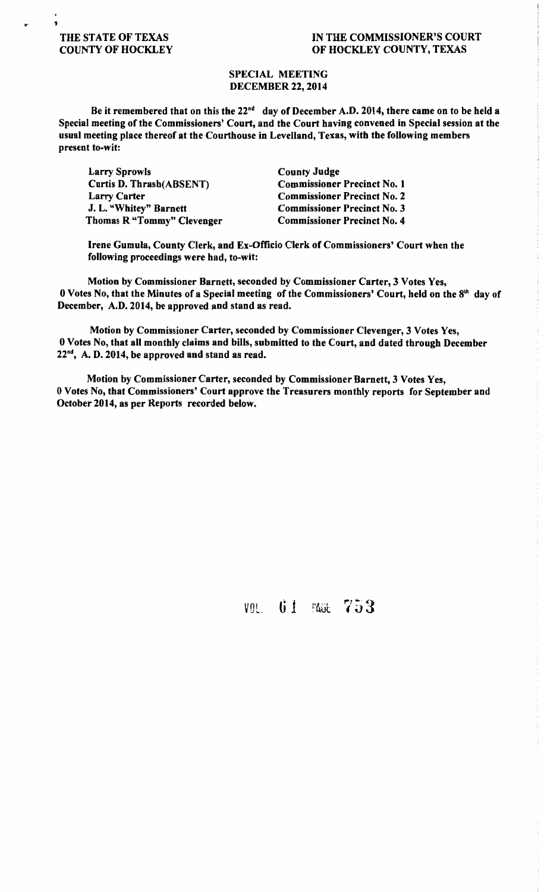### $\cdot$  , THE STATE OF TEXAS COUNTY OF HOCKLEY

### IN THE COMMISSIONER'S COURT OF HOCKLEY COUNTY, TEXAS

### SPECIAL MEETING DECEMBER 22, 2014

Be it remembered that on this the 22<sup>nd</sup> day of December A.D. 2014, there came on to be held a Special meeting of the Commissioners' Court, and the Court having convened in Special session at the usual meeting place thereof at the Courthouse in Levelland, Texas, with the following members present to-wit:

Larry Sprowls Curtis D. Thrash(ABSENT) Larry Carter J. L. "Whitey" Barnett Thomas R "Tommy" Clevenger

County Judge Commissioner Precinct No. 1 Commissioner Precinct No. 2 Commissioner Precinct No. 3 Commissioner Precinct No. 4

Irene Gumula, County Clerk, and Ex-Officio Clerk of Commissioners' Court when the following proceedings were had, to-wit:

Motion by Commissioner Barnett, seconded by Commissioner Carter, 3 Votes Yes, 0 Votes No, that the Minutes of a Special meeting of the Commissioners' Court, held on the 8<sup>th</sup> day of December, A.D. 2014, be approved and stand as read.

Motion by Commissioner Carter, seconded by Commissioner Clevenger, 3 Votes Yes, 0 Votes No, that all monthly claims and bills, submitted to the Court, and dated through December  $22<sup>nd</sup>$ , A. D. 2014, be approved and stand as read.

Motion by Commissioner Carter, seconded by Commissioner Barnett, 3 Votes Yes, 0 Votes No, that Commissioners' Court approve the Treasurers monthly reports for September and October 2014, as per Reports recorded below.

VOL. 61 PAGE 753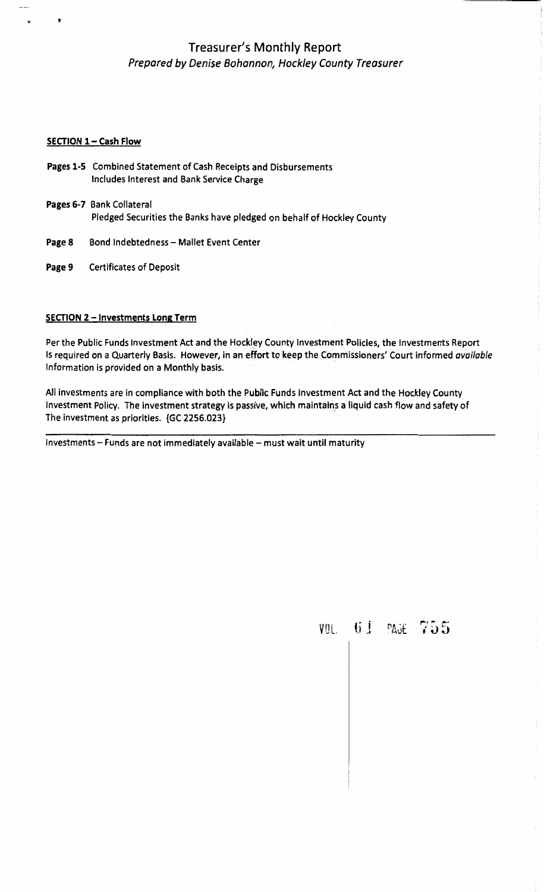### Treasurer's Monthly Report Prepared by Denise Bohannon, Hockley County Treasurer

### SECTION 1 - Cash Flow

 $\bullet$ 

- Pages 1-5 Combined Statement of Cash Receipts and Disbursements Includes Interest and Bank Service Charge
- Pages 6-7 Bank Collateral Pledged Securities the Banks have pledged on behalf of Hockley County
- Page 8 Bond Indebtedness Mallet Event Center
- Page 9 Certificates of Deposit

### SECTION 2 - Investments Long Term

Per the Public Funds Investment Act and the Hockley County Investment Policies, the Investments Report Is required on a Quarterly Basis. However, in an effort to keep the Commissioners' Court informed available Information is provided on a Monthly basis.

All investments are in compliance with both the Public Funds Investment Act and the Hockley County Investment Policy. The investment strategy is passive, which maintains a liquid cash flow and safety of The investment as priorities. {GC 2256.023}

Investments - Funds are not immediately available - must wait until maturity

vol. 61 page ,...., ~ .....  $19.9^{\circ}$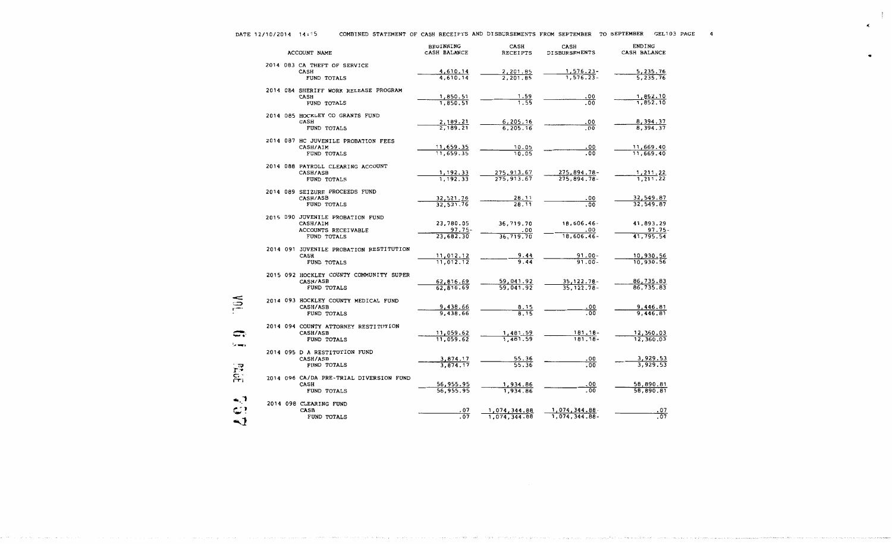k.

..

|             | <b>ACCOUNT NAME</b>                                                   | <b>BEGINNING</b><br>CASH BALANCE | CASH<br><b>RECEIPTS</b>      | CASH<br><b>DISBURSEMENTS</b>         | <b>ENDING</b><br>CASH BALANCE |
|-------------|-----------------------------------------------------------------------|----------------------------------|------------------------------|--------------------------------------|-------------------------------|
|             | 2014 083 CA THEFT OF SERVICE<br>CASH<br>FUND TOTALS                   | 4,610.14<br>4,610.14             | 2,201.85<br>2, 201.85        | $1, 576.23 -$<br>$1,576.23 -$        | 5,235.76<br>5,235.76          |
|             | 2014 084 SHERIFF WORK RELEASE PROGRAM<br><b>CASH</b><br>FUND TOTALS   | 1,850.51<br>1,850.51             | 1.59<br>1.59                 | .00<br>.00                           | 1,852.10<br>1,852.10          |
|             | 2014 085 HOCKLEY CO GRANTS FUND<br>CASH<br>FUND TOTALS                | 2,189.21<br>2,189,21             | 6,205.16<br>6.205.16         | .00<br>. 00                          | 8,394.37<br>8,394.37          |
|             | 2014 087 HC JUVENILE PROBATION FEES<br>CASH/AIM<br>FUND TOTALS        | 11,659.35<br>11,659.35           | 10.05<br>10.05               | .00<br>.00                           | 11,669.40<br>11,669.40        |
|             | 2014 088 PAYROLL CLEARING ACCOUNT<br>CASH/ASB<br><b>FUND TOTALS</b>   | 1,192.33<br>1,192.33             | 275,913.67<br>275,913.67     | 275,894.78-<br>$275,894.78-$         | 1,211.22<br>1,211.22          |
|             | 2014 089 SEIZURE PROCEEDS FUND<br>CASH/ASB<br>FUND TOTALS             | 32,521.76<br>32,521,76           | 28.11<br>28.11               | .00<br>.00.                          | 32,549.87<br>32,549.87        |
|             | 2015 090 JUVENILE PROBATION FUND<br>CASH/AIM<br>ACCOUNTS RECEIVABLE   | 23,780.05<br>$97.75 -$           | 36,719.70<br>.00             | 18,606.46-<br>.00                    | 41,893.29<br>97.75            |
|             | FUND TOTALS<br>2014 091 JUVENILE PROBATION RESTITUTION<br><b>CASH</b> | 23,682.30<br>11,012.12           | 36,719.70<br>9.44            | $18,606.46 -$<br>91.00-              | 41,795.54<br>10,930.56        |
|             | FUND TOTALS<br>2015 092 HOCKLEY COUNTY COMMUNITY SUPER<br>CASH/ASB    | 11,012.12<br>62,816.69           | 9.44<br>59,041.92            | $91.00 -$<br>$35, 122.78 -$          | 10.930.56<br>86,735.83        |
|             | FUND TOTALS<br>2014 093 HOCKLEY COUNTY MEDICAL FUND<br>CASH/ASB       | 62,816.69<br>9,438.66            | 59,041.92<br>8.15            | $35, 122.78 -$<br>. 00               | 86,735.83<br>9,446.81         |
|             | FUND TOTALS<br>2014 094 COUNTY ATTORNEY RESTITUTION<br>CASH/ASB       | 9,438.66                         | $\overline{8.15}$            | $\overline{.00}$                     | 9,446,81                      |
| la mars     | FUND TOTALS<br>2014 095 D A RESTITUTION FUND                          | 11,059.62<br>11,059.62           | 1,481.59<br>1,481.59         | 181.18-<br>$181.18 -$                | 12,360.03<br>12,360.03        |
| <b>ACCE</b> | CASH/ASB<br>FUND TOTALS<br>2014 096 CA/DA PRE-TRIAL DIVERSION FUND    | 3,874.17<br>3,874.17             | $\frac{55.36}{55.36}$        | .00<br>.00                           | 3,929.53<br>3,929.53          |
|             | <b>CASH</b><br>FUND TOTALS<br>2014 098 CLEARING FUND                  | 56,955.95<br>56,955.95           | 1,934.86<br>1,934.86         | .00<br>. 00                          | 58,890.81<br>58,890.81        |
| -1          | CASH<br>FUND TOTALS                                                   | . 07<br>.07                      | 1,074,344.88<br>1,074,344.88 | <u>1,074,344.88</u><br>1,074,344.88- | .07<br>$\overline{.07}$       |

.<br>Sangti Sampara (seria per di kalender Bostal) y l'investita (seria e est

**CONTRACTOR** 

Concert State Council

فاستند ومنفها والمتواصية ومتحملة والتحوية

**State Street** 

**District Property** 

. . . . . . . . . . . . . . . . .

and a support of the con-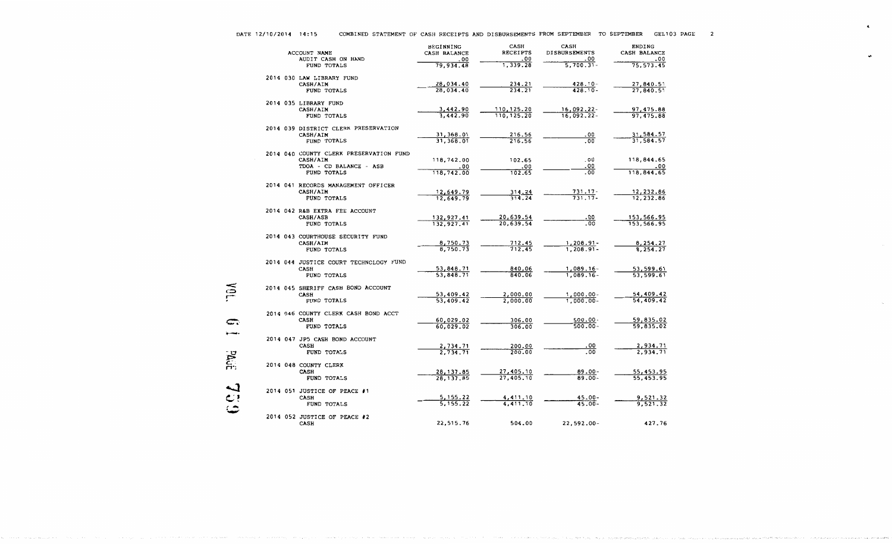$\blacksquare$ 

|  |  | DATE 12/10/2014 | 14:15 |
|--|--|-----------------|-------|
|--|--|-----------------|-------|

MQL.

 $, \ldots$ 

consideration of the state and

|              |  | ACCOUNT NAME<br>AUDIT CASH ON HAND                                                            | <b>BEGINNING</b><br>CASH BALANCE<br>.00 | CASH<br><b>RECEIPTS</b><br>.00 | <b>CASH</b><br>DISBURSEMENTS<br>.00 | <b>ENDING</b><br>CASH BALANCE<br>.00 |
|--------------|--|-----------------------------------------------------------------------------------------------|-----------------------------------------|--------------------------------|-------------------------------------|--------------------------------------|
|              |  | FUND TOTALS                                                                                   | 79,934.48                               | 1,339.28                       | $5,700.31 -$                        | 75, 573.45                           |
|              |  | 2014 030 LAW LIBRARY FUND<br>CASH/AIM<br>FUND TOTALS                                          | 28,034.40<br>28,034.40                  | 234.21<br>234.21               | $428.10 -$<br>$428.10 -$            | 27,840.51<br>27,840.51               |
|              |  | 2014 035 LIBRARY FUND<br>CASH/AIM<br>FUND TOTALS                                              | 3,442.90<br>3,442.90                    | 110, 125.20<br>110, 125.20     | $16,092.22 -$<br>$16,092.22 -$      | 97,475.88<br>97,475.88               |
|              |  | 2014 039 DISTRICT CLERK PRESERVATION<br>CASH/AIM<br>FUND TOTALS                               | 31, 368.01<br>31,368.01                 | 216.56<br>216.56               | .00<br>.00                          | 31,584.57<br>31,584.57               |
|              |  | 2014 040 COUNTY CLERK PRESERVATION FUND<br>CASH/AIM<br>TDOA - CD BALANCE - ASB<br>FUND TOTALS | 118,742.00<br>. 00<br>118, 742.00       | 102.65<br>.00<br>102.65        | .00<br>.00<br>.00                   | 118,844.65<br>00.<br>118,844.65      |
|              |  | 2014 041 RECORDS MANAGEMENT OFFICER<br>CASH/AIM<br>FUND TOTALS                                | 12,649.79<br>12,649.79                  | 314.24<br>314.24               | 731.17-<br>$731.17-$                | 12,232.86<br>12,232.86               |
|              |  | 2014 042 R&B EXTRA FEE ACCOUNT<br>CASH/ASB<br>FUND TOTALS                                     | 132,927.41<br>132,927,41                | 20,639.54<br>20,639.54         | 0٥.<br>.00                          | 153,566.95<br>153,566.95             |
|              |  | 2014 043 COURTHOUSE SECURITY FUND<br>CASH/AIM<br>FUND TOTALS                                  | 8,750.73<br>8,750.73                    | 712.45<br>712.45               | $1,208.91 -$<br>$1,208.91 -$        | 8,254.27<br>8,254.27                 |
|              |  | 2014 044 JUSTICE COURT TECHNOLOGY FUND<br>CASH<br>FUND TOTALS                                 | 53,848.71<br>53,848.71                  | 840.06<br>840.06               | $1,089.16 -$<br>1,089.16-           | 53,599.61<br>53,599.61               |
| λūŗ          |  | 2014 045 SHERIFF CASH BOND ACCOUNT<br><b>CASH</b><br>FUND TOTALS                              | 53,409.42<br>53,409.42                  | 2,000.00<br>2,000.00           | $1,000.00 -$<br>$1,000.00 -$        | 54,409.42<br>54,409.42               |
| C.           |  | 2014 046 COUNTY CLERK CASH BOND ACCT<br><b>CASH</b><br>FUND TOTALS                            | 60,029.02<br>60,029.02                  | 306.00<br>306.00               | $500.00 -$<br>$500.00 -$            | 59,835.02<br>59,835.02               |
|              |  | 2014 047 JP5 CASH BOND ACCOUNT<br><b>CASH</b><br>FUND TOTALS                                  | 2,734.71<br>2,734.71                    | 200.00<br>200.00               | .00<br>.00                          | 2,934.71<br>2,934.71                 |
| ្ត្រី        |  | 2014 048 COUNTY CLERK<br><b>CASH</b><br>FUND TOTALS                                           | 28, 137.85<br>28, 137.85                | 27,405.10<br>27,405.10         | 89.00-<br>89.00-                    | 55,453.95<br>55,453.95               |
| لما<br>بر مح |  | 2014 051 JUSTICE OF PEACE #1<br><b>CASH</b><br>FUND TOTALS                                    | 5, 155.22<br>5, 155.22                  | 4,411.10<br>4,411,10           | $45.00 -$<br>$45.00 -$              | 9,521.32<br>9,521.32                 |
|              |  | 2014 052 JUSTICE OF PEACE #2<br><b>CASH</b>                                                   | 22,515.76                               | 504.00                         | 22,592.00-                          | 427.76                               |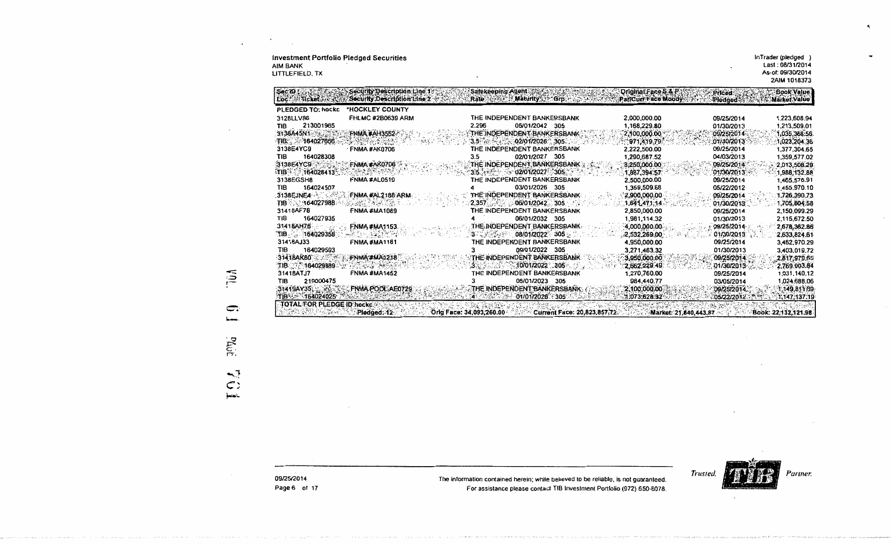| <b>Investment Portfolio Pledged Securities</b><br><b>AIM BANK</b><br>LITTLEFIELD. TX |                                                             |                                                                   |                             |                                                                            |                           | InTrader (pledged)<br>Last: 08/31/2014<br>As-of: 09/30/2014<br>2AIM 1018373 |
|--------------------------------------------------------------------------------------|-------------------------------------------------------------|-------------------------------------------------------------------|-----------------------------|----------------------------------------------------------------------------|---------------------------|-----------------------------------------------------------------------------|
| Sec ID 5<br>Loc Ant Ticket For avus                                                  | Security Description Line 1+<br>Security Description Line 2 | Safekeeping Agent<br>Rate Associate Maturity of Grp.              |                             | <b>Driginal Face S &amp; P</b><br>Par/Curr Face Moody                      | <b>Priced:</b><br>Pledged | <b>Book Value</b><br><b><i>Ex Market Value</i></b>                          |
| PLEDGED TO: hockc                                                                    | *HOCKLEY COUNTY                                             |                                                                   |                             |                                                                            |                           |                                                                             |
| 3128LLV86                                                                            | <b>FHLMC #2B0639 ARM</b>                                    | THE INDEPENDENT BANKERSBANK                                       |                             | 2,000,000.00                                                               | 09/25/2014                | 1,223,608.94                                                                |
| 213001965<br>TIB                                                                     |                                                             | 2.296                                                             | 06/01/2042 305              | 1,168,229.80                                                               | 01/30/2013                | 1.213.509.01                                                                |
| 3138A45N1                                                                            | <b>FNMA #AH3552-</b>                                        | THE INDEPENDENT BANKERSBANK                                       |                             | 2,100,000.00                                                               | 09/25/2014                | 1,035,368.56                                                                |
| 可B 3464027666                                                                        |                                                             | $3.5$ $\sim$ $\sim$ 02/01/2026 $\sim$ 305.                        |                             | ់971,419.79ំ                                                               | 01/30/2013                | 1,023,204.36                                                                |
| 3138E4YC9                                                                            | FNMA #AK0706                                                | THE INDEPENDENT BANKERSBANK                                       |                             | 2,222,500.00                                                               | 09/25/2014                | 1,377,304.65                                                                |
| TIB<br>164028308                                                                     |                                                             | 3.5                                                               | 02/01/2027 305              | 1.290,687.52                                                               | 04/03/2013                | 1,359,577.02                                                                |
| 3138E4YC9                                                                            | FNMA #AK0706                                                | THE INDEPENDENT BANKERSBANK                                       |                             | 3,250,000.00                                                               | 09/25/2014                | 2,013,508.29                                                                |
| 164028413                                                                            |                                                             | $3.5$ $\leftrightarrow$ $2/01/2027$ 305                           |                             | 1,887,394.57                                                               | 01/30/2013                | 1,988,132.88                                                                |
| 3138EGSH8                                                                            | FNMA #AL0519                                                | THE INDEPENDENT BANKERSBANK                                       |                             | 2,500,000.00                                                               | 09/25/2014                | 1,465,576.91                                                                |
| 164024507<br>TIB                                                                     |                                                             |                                                                   | 03/01/2026 305              | 1,359,509.68                                                               | 05/22/2012                | 1,455,970.10                                                                |
| $3138$ EJNE4 $\sim$ $\sim$                                                           | FNMA#AL2188 ARM                                             | THE INDEPENDENT BANKERSBANK                                       |                             | 2,900,000.00                                                               | 09/25/2014                | 1,726,390.73                                                                |
| TIB 164027988                                                                        | 2020 - 2021                                                 | $2,357$ $-06/01/2042$ $305$ $-1$                                  |                             | 1,641,471,14.                                                              | 01/30/2013                | 1,705,804.58                                                                |
| 31418AF78                                                                            | <b>FNMA #MA1089</b>                                         | THE INDEPENDENT BANKERSBANK                                       |                             | 2,850,000.00                                                               | 09/25/2014                | 2,150,099.29                                                                |
| 164027935<br>TIB                                                                     |                                                             |                                                                   | 06/01/2032 305              | 1,981,114.32                                                               | 01/30/2013                | 2,115,672.50                                                                |
| 31418AH76                                                                            | <b>FNMA #MA1153</b>                                         | THE INDEPENDENT BANKERSBANK.<br>3.3.3.3.3.2.2.08/01/2022.305.3.3. |                             | 4,000,000.00                                                               | 09/25/2014                | 2,678,362.86                                                                |
| $THB = 164029358$<br>31418AJ33                                                       | -20-32055<br><b>FNMA#MA1181</b>                             | THE INDEPENDENT BANKERSBANK                                       |                             | 2,532,269.00<br>4,950,000.00                                               | 01/30/2013<br>09/25/2014  | 2,633,824.61<br>3,462,970.29                                                |
| 164029593<br>TIB                                                                     |                                                             |                                                                   | 09/01/2022 305              | 3,271,463.32                                                               | 01/30/2013                | 3,403,019.72                                                                |
| 3141BAKB0                                                                            | FNMA#MA1218                                                 | THE INDEPENDENT BANKERSBANK                                       |                             | 3,950,000.00                                                               | 09/25/2014                | 2,817,979.65                                                                |
| TIB 164029389                                                                        |                                                             |                                                                   | $-10/01/2022 - 305$         | 2,662,229,49                                                               | 01/30/2013                | 2,769,903.84                                                                |
| 31418ATJ7                                                                            | <b>FNMA #MA1452</b>                                         |                                                                   | THE INDEPENDENT BANKERSBANK | 1,270,760.00                                                               | 09/25/2014                | 1,031,140.12                                                                |
| 219000475<br>TIB                                                                     |                                                             | 3                                                                 | 05/01/2023 305              | 984,440.77                                                                 | 03/05/2014                | 1,024,688.06                                                                |
|                                                                                      | 31419AY35, XXXX FNMA POOLAE0729                             | <b>THE INDEPENDENT BANKERSBANK:</b>                               |                             | 2,100,000,00                                                               | 09/25/2014                | 1,149,811.69                                                                |
| TIB 3. 164024025                                                                     |                                                             | 不好的 计语义                                                           | 01/01/2026 305              | 1.073,628.32                                                               | 05/22/2012                | 1,147,137.19                                                                |
| <b>TOTAL FOR PLEDGE ID hocket 2:</b><br>PACK INTERNATIONAL                           | Pledged; 12-                                                |                                                                   |                             | Orig Face: 34,093,260.00 Current Face: 20,823,857,72 Market: 21,840,443.87 |                           | Book: 22:132.121.98                                                         |

 $\widetilde{\mathbb{Q}}$  $\Rightarrow$ أتسمو **PLULE**  $\sum_{k=1}^{\infty}$   $\mathcal{O}(\mathcal{O}(\log n))$ 

Trusted. Partner.

 $\blacksquare$ 

The information contained herein; while believed to be reliable, is not guaranteed. For assistance please contact TIB Investment Portfolio (972) 650-6078.

09/25/2014 Page 6 of 17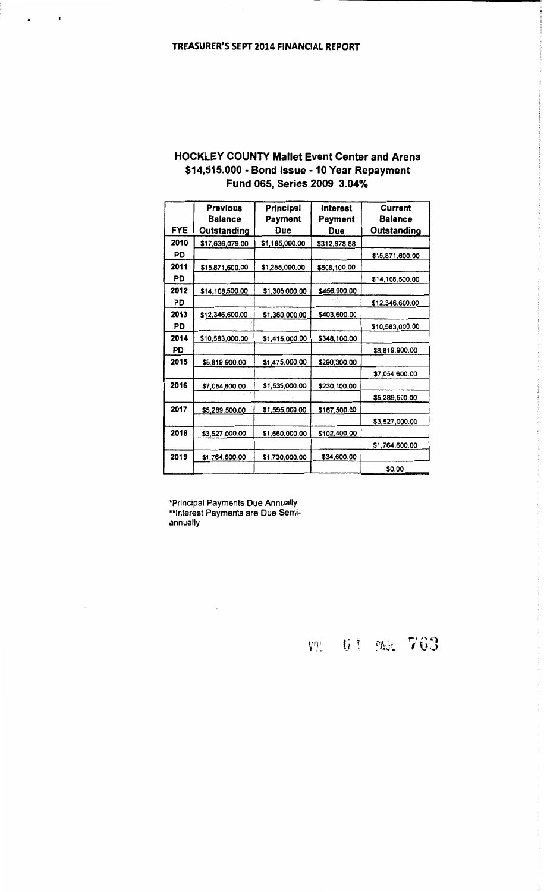$\mathbf{r}^{\mathrm{max}}_{\mathrm{max}}$ 

 $\sim$ 

| <b>HOCKLEY COUNTY Mallet Event Center and Arena</b> |
|-----------------------------------------------------|
| \$14,515.000 - Bond Issue - 10 Year Repayment       |
| Fund 065, Series 2009 3.04%                         |

|            | <b>Previous</b><br><b>Balance</b> | Principal<br>Payment | Interest<br>Payment | Current<br><b>Balance</b> |
|------------|-----------------------------------|----------------------|---------------------|---------------------------|
| <b>FYE</b> | Outstanding                       | Due                  | Due                 | Outstanding               |
| 2010       | \$17,636,079.00                   | \$1,185,000.00       | \$312,878.88        |                           |
| PD         |                                   |                      |                     | \$15,871,600.00           |
| 2011       | \$15,871,600.00                   | \$1,255,000.00       | \$508,100.00        |                           |
| PD         |                                   |                      |                     | \$14,108,500.00           |
| 2012       | \$14,108,500.00                   | \$1,305,000.00       | \$456,900.00        |                           |
| PD         |                                   |                      |                     | \$12,346,600.00           |
| 2013       | \$12,346,600.00                   | \$1,360,000.00       | \$403,600.00        |                           |
| <b>PD</b>  |                                   |                      |                     | \$10,583,000.00           |
| 2014       | \$10,583,000.00                   | \$1,415,000.00       | \$348,100.00        |                           |
| PD         |                                   |                      |                     | \$8,819,900.00            |
| 2015       | \$8,819,900.00                    | \$1,475,000.00       | \$290,300.00        |                           |
|            |                                   |                      |                     | \$7,054,600.00            |
| 2016       | \$7,054,600.00                    | \$1,535,000.00       | \$230,100.00        |                           |
|            |                                   |                      |                     | \$5,289,500.00            |
| 2017       | \$5,289,500.00                    | \$1,595,000.00       | \$167,500.00        |                           |
|            |                                   |                      |                     | \$3,527,000.00            |
| 2018       | \$3,527,000.00                    | \$1,660,000.00       | \$102,400.00        |                           |
|            |                                   |                      |                     | \$1,764,600.00            |
| 2019       | \$1,764,600.00                    | \$1,730,000.00       | \$34,600.00         |                           |
|            |                                   |                      |                     | \$0.00                    |

\*Principal Payments Due Annually<br>\*\*Interest Payments are Due Semi-<br>annually

 $\sim$ 

VOL 61 Not 763

 $\sim$   $\sim$ 

 $\frac{1}{2}$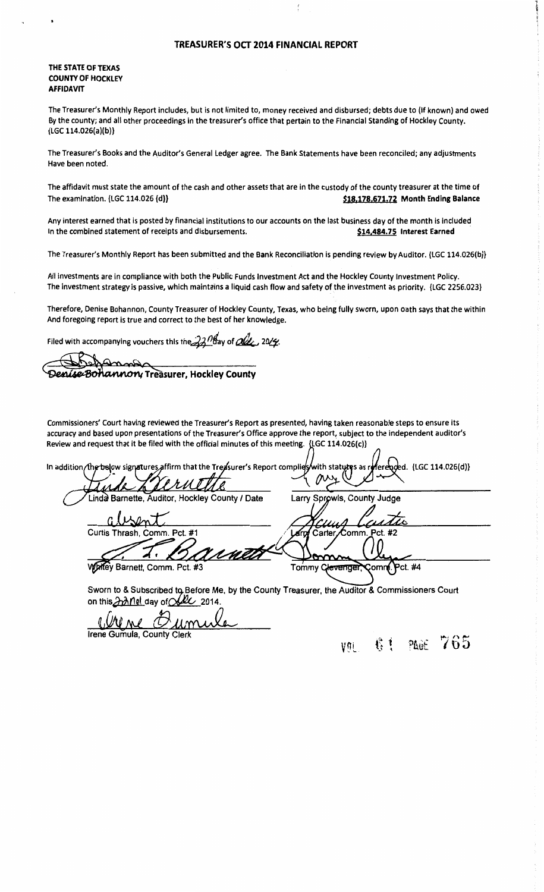#### TREASURER'S OCT 2014 FINANCIAL REPORT

#### THE STATE OF TEXAS COUNTY OF HOCKLEY AFFIDAVIT

The Treasurer's Monthly Report includes, but is not limited to, money received and disbursed; debts due to (if known) and owed By the county; and all other proceedings in the treasurer's office that pertain to the Financial Standing of Hockley County. {LGC 114.026(a)(b)}

The Treasurer's Books and the Auditor's General Ledger agree. The Bank Statements have been reconciled; any adjustments Have been noted.

The affidavit must state the amount of the cash and other assets that are in the custody of the county treasurer at the time of The examination. {LGC 114.026 {d}}  $\left\{ \text{min} \right\}$  \$18,178,671.72 Month Ending Balance

Any interest earned that is posted by financial institutions to our accounts on the last business day of the month is included In the combined statement of receipts and disbursements. **Example 18 and S14,484.75 Interest Earned** 

The Treasurer's Monthly Report has been submitted and the Bank Reconciliation is pending review by Auditor. {LGC 114.026(b)}

All investments are in compliance with both the Public Funds Investment Act and the Hockley County Investment Policy. The investment strategy is passive, which maintains a liquid cash flow and safety of the investment as priority. {LGC 2256.023}

Therefore, Denise Bohannon, County Treasurer of Hockley County, Texas, who being fully sworn, upon oath says that the within And foregoing report is true and correct to the best of her knowledge.

Filed with accompanying vouchers this the  $22$ <sup>nd</sup>ay of  $\alpha$ , 20/4.

**Surer Command**<br>Denise Bohannon, Treasurer, Hockley County

Commissioners' Court having reviewed the Treasurer's Report as presented, having taken reasonable steps to ensure its accuracy and based upon presentations of the Treasurer's Office approve the report, subject to the independent auditor's Review and request that it be filed with the official minutes of this meeting. {LGC 114.026(c)}

oced. {LGC 114.026(d)} kow signatures affirm that the Treasurer's Report complies In addition/the rith statutes as Linda Barnette, Auditor, Hockley County / Date Larry Sprowls, County Judge  $\mathsf{S} \mathsf{M}$ Curtis Thrash, Comm. Pct.  $#1$ Comm Pct. #2 Carter rna Whitey Barnett, Comm. Pct. #3 Tommy Clevengei ≩omn**r**. Pct. #4

Sworn to & Subscribed to Before Me. by the County Treasurer, the Auditor & Commissioners Court on this  $\n *and*$  rel day of  $\alpha$  2014.

<u>Wine Oumula</u>

Irene Gumula, County Clerk

vni 61 PAGE 765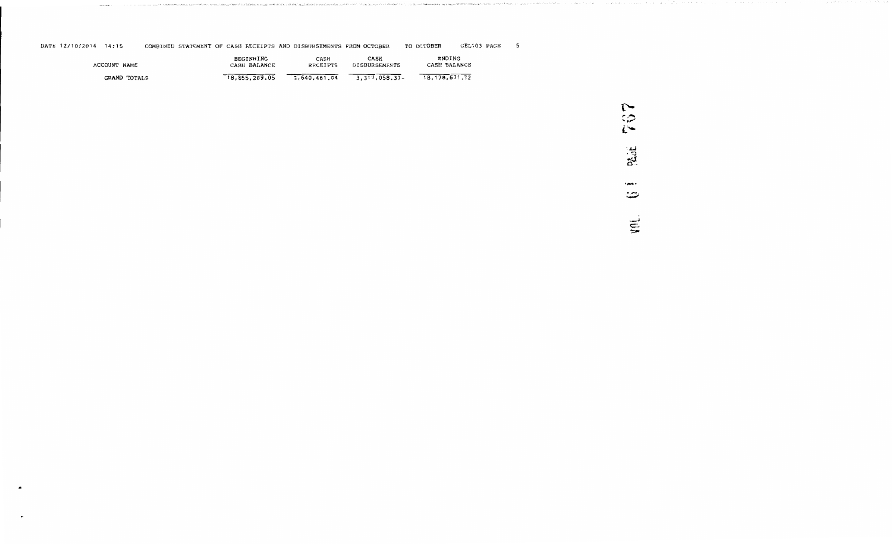DATE 12/10/2014 14:15 COMBINED STATEMENT OF CASH RECEIPTS AND DISBURSEMENTS FROM OCTOBER TO OCTOBER GEL103 PAGE 5

| ACCOUNT NAME | <b>BEGINNING</b> | CASH         | CASH             | ENDING           |
|--------------|------------------|--------------|------------------|------------------|
|              | CASH BALANCE     | RECEIPTS     | DISBURSEMENTS    | CASH BALANCE     |
| GRAND TOTALS | 18,855,269.05    | 2.640.461.04 | 3, 317, 058, 37- | 18, 178, 671, 72 |

 $\blacksquare$ ... ;,.; *L•*   $\pm$  $\alpha$  . المعيد *:..::;;*  ...<br>ጋ  $\beta_{\rm{max}}$  , and a set of the state of the state of<br>a  $\beta$  and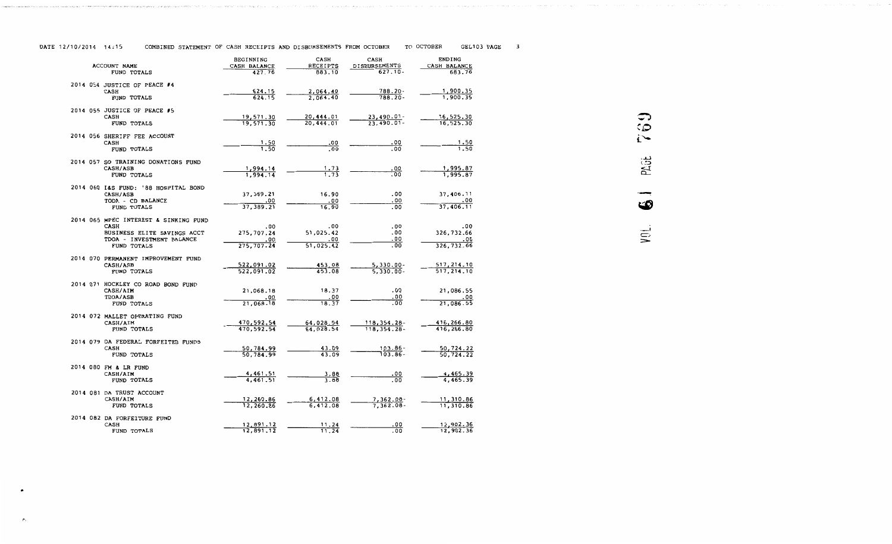| DATE 12/10/2014 14:15 | COMBINED STATEMENT OF CASH RECEIPTS AND DISBURSEMENTS FROM OCTOBER |  |  |  | TO OCTOBER | GEL103 PAGE |  |
|-----------------------|--------------------------------------------------------------------|--|--|--|------------|-------------|--|
|                       |                                                                    |  |  |  |            |             |  |

| <b>ACCOUNT NAME</b>                                  | BEGINNING<br>CASH BALANCE | CASH<br>RECEIPTS       | CASH<br>DISBURSEMENTS        | <b>ENDING</b><br>CASH BALANCE |
|------------------------------------------------------|---------------------------|------------------------|------------------------------|-------------------------------|
| FUND TOTALS                                          | 427.76                    | 883.10                 | $627.10 -$                   | 683.76                        |
| 2014 054 JUSTICE OF PEACE #4                         |                           |                        |                              |                               |
| CASH                                                 | 624.15                    | 2,064.40               | 788.20-                      | 1,900.35                      |
| FUND TOTALS                                          | 624.15                    | 2.064.40               | $788.20 -$                   | 1,900.35                      |
| 2014 055 JUSTICE OF PEACE #5                         |                           |                        |                              |                               |
| <b>CASH</b>                                          | 19,571.30                 | 20,444.01              | $23,490.01 -$                | 16,525.30                     |
| FUND TOTALS                                          | 19,571.30                 | 20,444.01              | $23,490.01 -$                | 16,525.30                     |
| 2014 056 SHERIFF FEE ACCOUNT                         |                           |                        |                              |                               |
| <b>CASH</b><br>FUND TOTALS                           | 1.50<br>1.50              | .00<br>.00             | .00<br>.00                   | 1.50<br>1.50                  |
|                                                      |                           |                        |                              |                               |
| 2014 057 SO TRAINING DONATIONS FUND<br>CASH/ASB      | 1,994.14                  | 1.73                   | .00                          | 1,995.87                      |
| FUND TOTALS                                          | 1.994.14                  | 1.73                   | $\overline{00}$              | 1,995.87                      |
|                                                      |                           |                        |                              |                               |
| 2014 060 I&S FUND: '88 HOSPITAL BOND                 | 37, 389.21                | 16.90                  | .00                          | 37,406.11                     |
| CASH/ASB<br>TODA - CD BALANCE                        | .00                       | .00                    | - 00                         | .00                           |
| FUND TOTALS                                          | 37, 389.21                | 16.90                  | .00                          | 37,406.11                     |
|                                                      |                           |                        |                              |                               |
| 2014 065 MPEC INTEREST & SINKING FUND<br><b>CASH</b> | .00                       | .00                    | .00                          | .00                           |
| BUSINESS ELITE SAVINGS ACCT                          | 275, 707.24               | 51,025.42              | .00                          | 326,732.66                    |
| TDOA - INVESTMENT BALANCE                            | .00                       | .00                    | .00                          | .00                           |
| FUND TOTALS                                          | 275,707.24                | 51,025.42              | .00                          | 326,732.66                    |
| 2014 070 PERMANENT IMPROVEMENT FUND                  |                           |                        |                              |                               |
| CASH/ASB                                             | 522,091.02                | 453.08                 | $5,330.00 -$                 | 517,214.10                    |
| FUND TOTALS                                          | 522,091.02                | 453.08                 | $5.330.00 -$                 | 517, 214.10                   |
| 2014 071 HOCKLEY CO ROAD BOND FUND                   |                           |                        |                              |                               |
| CASH/AIM                                             | 21,068.18                 | 18.37                  | .00                          | 21,086.55                     |
| <b>TDOA/ASB</b><br>FUND TOTALS                       | .00<br>21,068.18          | .00<br>18.37           | .00<br>$\overline{.00}$      | .00<br>21,086.55              |
|                                                      |                           |                        |                              |                               |
| 2014 072 MALLET OPERATING FUND                       |                           |                        |                              |                               |
| CASH/AIM<br>FUND TOTALS                              | 470,592.54<br>470,592.54  | 64,028.54<br>64,028.54 | 118,354.28-<br>118, 354. 28- | 416,266.80<br>416,266.80      |
|                                                      |                           |                        |                              |                               |
| 2014 079 DA FEDERAL FORFEITED FUNDS                  |                           |                        |                              |                               |
| CASH<br><b>FUND TOTALS</b>                           | 50,784.99<br>50,784.99    | 43.09<br>43.09         | 103.86-<br>$103.86 -$        | 50,724.22<br>50.724.22        |
|                                                      |                           |                        |                              |                               |
| 2014 080 FM & LR FUND                                |                           |                        |                              |                               |
| CASH/AIM<br>FUND TOTALS                              | 4,461.51<br>4,461.51      | 3.88<br>3.88           | 00.<br>.00                   | 4,465.39<br>4,465.39          |
|                                                      |                           |                        |                              |                               |
| 2014 081 DA TRUST ACCOUNT                            |                           |                        | 7,362.08-                    | 11,310.86                     |
| CASH/AIM<br><b>FUND TOTALS</b>                       | 12,260.86<br>12,260.86    | 6,412.08<br>6.412.08   | $7.362.08 -$                 | 11,310.86                     |
|                                                      |                           |                        |                              |                               |
| 2014 082 DA FORFEITURE FUND<br>CASH                  | 12,891.12                 | 11.24                  | .00                          | 12,902.36                     |
| FUND TOTALS                                          | 12,891.12                 | 11.24                  | .00                          | 12,902.36                     |
|                                                      |                           |                        |                              |                               |

763 PLGE ∽  $\omega$ VOL.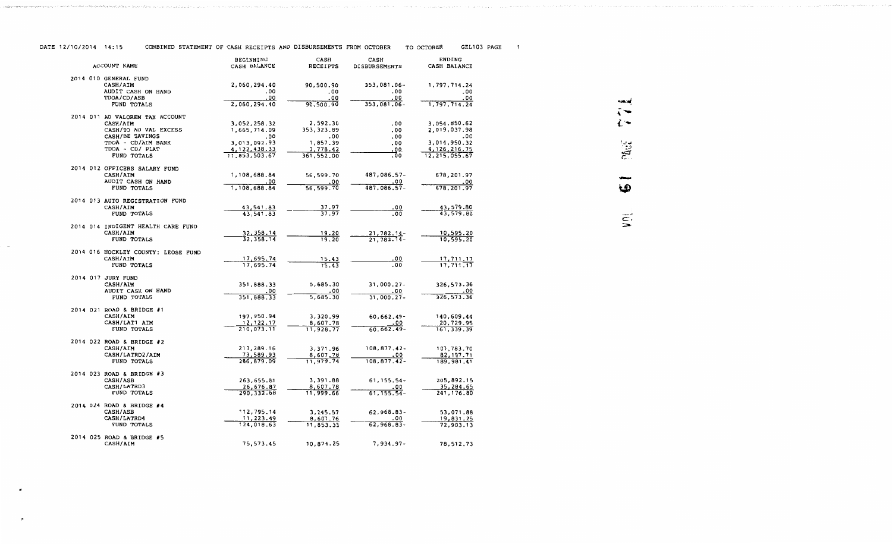| DATE 12/10/2014 14:15 | COMBINED STATEMENT OF CASH RECEIPTS AND DISBURSEMENTS FROM OCTOBER |  | TO OCTOBER | GEL103 PAGE |  |
|-----------------------|--------------------------------------------------------------------|--|------------|-------------|--|
|                       |                                                                    |  |            |             |  |

|                                                 | BEGINNING              | CASH               | CASH                 | <b>ENDING</b>          |  |
|-------------------------------------------------|------------------------|--------------------|----------------------|------------------------|--|
| ACCOUNT NAME                                    | CASH BALANCE           | RECEIPTS           | <b>DISBURSEMENTS</b> | CASH BALANCE           |  |
| 2014 010 GENERAL FUND                           |                        |                    |                      |                        |  |
| <b>CASH/AIM</b>                                 | 2,060,294.40           | 90,500.90          | 353,081.06-          | 1,797,714.24           |  |
| AUDIT CASH ON HAND                              | .00                    | .00                | .00                  | - 00                   |  |
| TDOA/CD/ASB<br>FUND TOTALS                      | .00<br>2,060,294.40    | .00<br>90,500.90   | .00<br>353,081.06-   | .00<br>1,797,714.24    |  |
|                                                 |                        |                    |                      |                        |  |
| 2014 011 AD VALOREM TAX ACCOUNT                 |                        |                    |                      |                        |  |
| CASH/AIM                                        | 3,052,258.32           | 2,592.30           | .00                  | 3,054,850.62           |  |
| CASH/TO AD VAL EXCESS                           | 1,665,714.09           | 353, 323.89        | .00                  | 2,019,037.98           |  |
| CASH/BE SAVINGS<br>TDOA - CD/AIM BANK           | .00<br>3,013,092.93    | .00<br>1,857.39    | .00<br>.00           | .00<br>3,014,950.32    |  |
| TDOA - CD/ PLAT                                 | 4, 122, 438.33         | 3,778.42           | . 00                 | 4, 126, 216. 75        |  |
| FUND TOTALS                                     | 11,853,503.67          | 361,552.00         | .00                  | 12,215,055.67          |  |
|                                                 |                        |                    |                      |                        |  |
| 2014 012 OFFICERS SALARY FUND                   |                        |                    |                      |                        |  |
| CASH/AIM                                        | 1,108,688.84           | 56,599.70          | 487,086.57-          | 678,201.97             |  |
| AUDIT CASH ON HAND<br>FUND TOTALS               | .00<br>1,108,688.84    | .00<br>56, 599. 70 | .00<br>487,086.57-   | .00<br>678,201.97      |  |
|                                                 |                        |                    |                      |                        |  |
| 2014 013 AUTO REGISTRATION FUND                 |                        |                    |                      |                        |  |
| <b>CASH/AIM</b>                                 | 43,541.83              | 37.97              | .00                  | 43,579.80              |  |
| FUND TOTALS                                     | 43,541.83              | 37.97              | .00                  | 43,579.80              |  |
| 2014 014 INDIGENT HEALTH CARE FUND              |                        |                    |                      |                        |  |
| CASH/AIM                                        | 32, 358.14             | 19.20              | $21,782.14-$         | 10,595.20              |  |
| FUND TOTALS                                     | 32, 358.14             | 19.20              | $21,782.14-$         | 10,595.20              |  |
|                                                 |                        |                    |                      |                        |  |
| 2014 016 HOCKLEY COUNTY: LEOSE FUND<br>CASH/AIM |                        |                    |                      |                        |  |
| FUND TOTALS                                     | 17,695.74<br>17,695.74 | 15.43<br>15.43     | .00<br>. 00          | 17,711.17<br>17,711.17 |  |
|                                                 |                        |                    |                      |                        |  |
| 2014 017 JURY FUND                              |                        |                    |                      |                        |  |
| CASH/AIM                                        | 351,888.33             | 5,685.30           | $31,000.27 -$        | 326,573.36             |  |
| AUDIT CASH ON HAND                              | .00                    | - 00               | .00                  | .00                    |  |
| FUND TOTALS                                     | 351,888.33             | 5,685.30           | $31,000.27 -$        | 326,573.36             |  |
| 2014 021 ROAD & BRIDGE #1                       |                        |                    |                      |                        |  |
| <b>CASH/AIM</b>                                 | 197,950.94             | 3,320.99           | 60,662.49-           | 140,609.44             |  |
| CASH/LAT1 AIM                                   | 12,122.17              | 8,607.78           | .00                  | 20,729.95              |  |
| FUND TOTALS                                     | 210,073.11             | 11,928.77          | 60,662.49-           | 161, 339.39            |  |
| 2014 022 ROAD & BRIDGE #2                       |                        |                    |                      |                        |  |
| CASH/AIM                                        | 213,289.16             | 3,371.96           | $108, 877, 42 -$     | 107,783.70             |  |
| CASH/LATRD2/AIM                                 | 73,589.93              | 8,607.78           | .00                  | 82, 197. 71            |  |
| FUND TOTALS                                     | 286,879.09             | 11,979.74          | 108,877.42-          | 189,981.41             |  |
| 2014 023 ROAD & BRIDGE #3                       |                        |                    |                      |                        |  |
| <b>CASH/ASB</b>                                 | 263,655.81             | 3,391.88           | $61, 155.54 -$       | 205,892.15             |  |
| CASH/LATRD3                                     | 26,676.87              | 8,607.78           | .00                  | 35,284.65              |  |
| FUND TOTALS                                     | 290, 332.68            | 11,999.66          | $61, 155.54 -$       | 241, 176.80            |  |
| 2014 024 ROAD & BRIDGE #4                       |                        |                    |                      |                        |  |
| CASH/ASB                                        | 112,795.14             | 3,245.57           | 62,968.83-           | 53,071.88              |  |
| CASH/LATRD4                                     | 11,223.49              | 8,607.76           | .00                  | 19,831.25              |  |
| FUND TOTALS                                     | 124,018.63             | 11,853.33          | 62,968.83-           | 72,903.13              |  |
|                                                 |                        |                    |                      |                        |  |
| 2014 025 ROAD & BRIDGE #5<br>CASH/AIM           | 75,573.45              | 10,874.25          | 7,934.97-            | 78,512.73              |  |
|                                                 |                        |                    |                      |                        |  |

......  $M_{\rm H}$ . ..<br>.  $\vec{E}$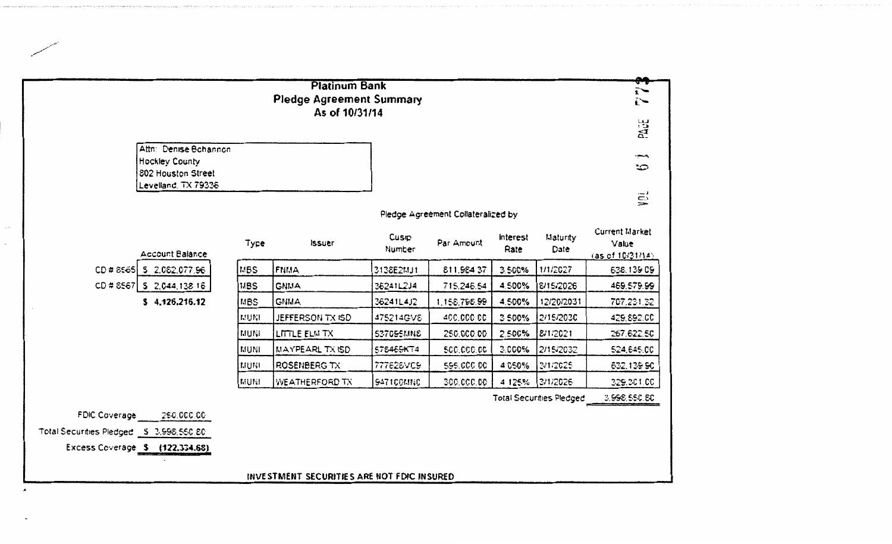|                                         |                                      |            | <b>Platinum Bank</b>                        |                 |                                    |                  |                                 | هه<br>$\tilde{\mathbf{i}}$                        |
|-----------------------------------------|--------------------------------------|------------|---------------------------------------------|-----------------|------------------------------------|------------------|---------------------------------|---------------------------------------------------|
|                                         |                                      |            | <b>Pledge Agreement Summary</b>             |                 |                                    |                  |                                 | ï∼                                                |
|                                         |                                      |            | As of 10/31/14                              |                 |                                    |                  |                                 |                                                   |
|                                         |                                      |            |                                             |                 |                                    |                  |                                 | PAGE                                              |
|                                         | Attn: Denise Bohannon                |            |                                             |                 |                                    |                  |                                 | بحسب                                              |
|                                         | Hockley County<br>802 Houston Street |            |                                             |                 |                                    |                  |                                 | చా                                                |
|                                         | Levelland, TX 79336                  |            |                                             |                 |                                    |                  |                                 |                                                   |
|                                         |                                      |            |                                             |                 |                                    |                  |                                 | yēi                                               |
|                                         |                                      |            |                                             |                 | Pledge Agreement Collateralized by |                  |                                 |                                                   |
|                                         | Account Balance                      | Type       | <b>ISSUE</b> T                              | Cusip<br>Number | Par Amount                         | interest<br>Rate | Maturity<br>Date                | <b>Current Market</b><br>Value<br>(as of 1031/14) |
|                                         | CD # 8565   \$ 2.082.077.96          | MBS        | FNMA                                        | 3138E2MJ1       | 811,984.37                         | 3.500%           | 1/1/2027                        | 638, 139.09                                       |
|                                         | CD#8567   \$ 2,044,138.16            | <b>MBS</b> | <b>GNMA</b>                                 | 36241L2J4       | 715.246.54                         | 4.500%           | 8/15/2026                       | 469,579.99                                        |
|                                         | 54.126.216.12                        | MBS        | GNMA.                                       | 36241L4J2       | 1.158.798.99                       | 4.500%           | 12/20/2031                      | 707.231.32                                        |
|                                         |                                      | MUNI       | JEFFERSON TX ISD                            | 475214GV8       | 400,000.00                         | 3.500%           | 2/15/2030                       | 429.892.00                                        |
|                                         |                                      | MUNI       | LITTLE ELM TX                               | 537055MNS       | 250,000.00                         | 2.500%           | 8/1/2021                        | 267,622.50                                        |
|                                         |                                      | MUNI       | <b>MAYPEARL TX ISD</b>                      | 578465KT4       | 500,000,00                         | 3.000%           | 2/15/2032                       | 524,645.00                                        |
|                                         |                                      | MUNI       | ROSENBERG TX                                | 777628VC9       | 595,000.00                         | 4.050%           | 3/1/2025                        | 632,139.90                                        |
|                                         |                                      | MUNI       | WEATHERFORD TX                              | 947100MNC       | 300,000,00                         |                  | 4.125% 2/1/2026                 | 329,301.00                                        |
|                                         |                                      |            |                                             |                 |                                    |                  | <b>Total Securities Pledged</b> | 3.998,550.80                                      |
|                                         | FDIC Coverage 250,000.00             |            |                                             |                 |                                    |                  |                                 |                                                   |
| Total Securities Pledged 5 3.998,550.80 |                                      |            |                                             |                 |                                    |                  |                                 |                                                   |
|                                         | Excess Coverage \$ (122,334.68)      |            |                                             |                 |                                    |                  |                                 |                                                   |
|                                         |                                      |            |                                             |                 |                                    |                  |                                 |                                                   |
|                                         |                                      |            | INVESTMENT SECURITIES ARE NOT FDIC INSURED. |                 |                                    |                  |                                 |                                                   |

and the discussion and we can be a constant to the constant of the constant of the second company of the and the second constant of the second constant of the second constant of the second constant of the second constant o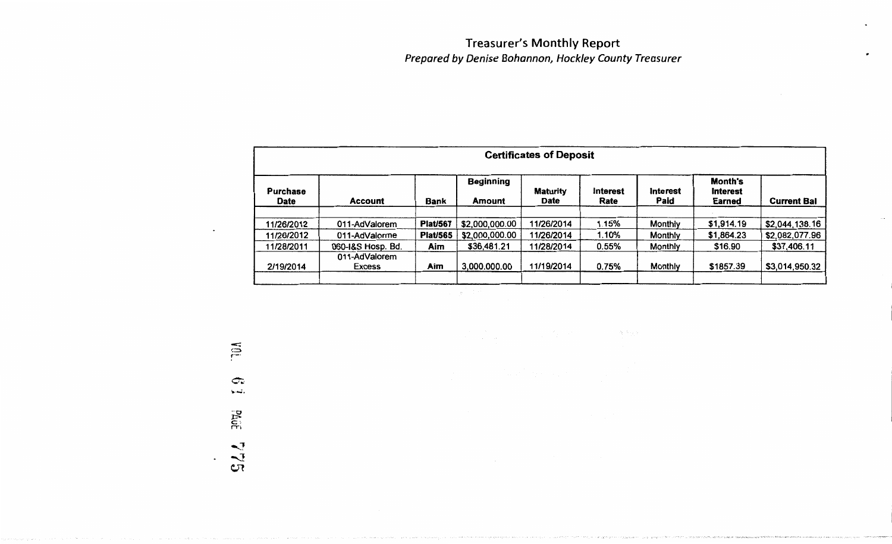## Treasurer's Monthly Report Prepared by Denise Bohannon, Hockley County Treasurer

| <b>Certificates of Deposit</b> |                         |                 |                                   |                         |                  |                  |                                             |                    |
|--------------------------------|-------------------------|-----------------|-----------------------------------|-------------------------|------------------|------------------|---------------------------------------------|--------------------|
| Purchase<br>Date               | <b>Account</b>          | Bank            | <b>Beginning</b><br><b>Amount</b> | <b>Maturity</b><br>Date | Interest<br>Rate | Interest<br>Paid | <b>Month's</b><br><b>Interest</b><br>Earned | <b>Current Bal</b> |
|                                |                         |                 |                                   |                         |                  |                  |                                             |                    |
| 11/26/2012                     | 011-AdValorem           | <b>Plat/567</b> | \$2,000,000.00                    | 11/26/2014              | 1.15%            | Monthly          | \$1,914.19                                  | \$2,044,138.16     |
| 11/26/2012                     | 011-AdValorme           | <b>Plat/565</b> | \$2,000,000.00                    | 11/26/2014              | 1.10%            | Monthly          | \$1,864.23                                  | \$2,082,077.96     |
| 11/28/2011                     | 060-1&S Hosp. Bd.       | Aim             | \$36,481.21                       | 11/28/2014              | 0.55%            | Monthly          | \$16.90                                     | \$37,406.11        |
| 2/19/2014                      | 011-AdValorem<br>Excess | Aim             | 3,000.000.00                      | 11/19/2014              | 0.75%            | Monthly          | \$1857.39                                   | \$3,014,950.32     |
|                                |                         |                 |                                   |                         |                  |                  |                                             |                    |

 $\Delta$  and  $\epsilon$ 

 $\supseteq$  $\mathbb{R}$ . Puut  $\blacktriangledown$ *-...]*   $\mathbf{c}_\mathcal{R}$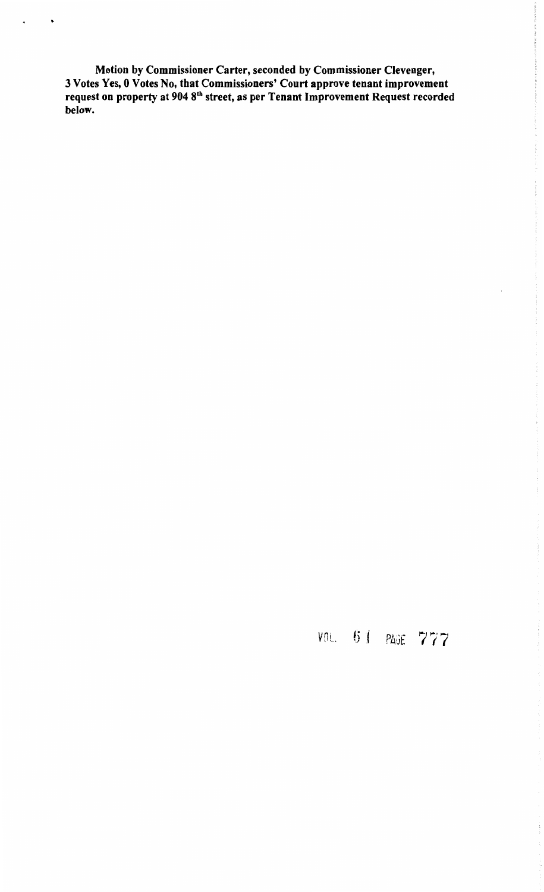Motion by Commissioner Carter, seconded by Commissioner Clevenger, 3 Votes Yes, 0 Votes No, that Commissioners' Court approve tenant improvement request on property at 904 8<sup>th</sup> street, as per Tenant Improvement Request recorded below.

•

## vnL. 61 PAGE 777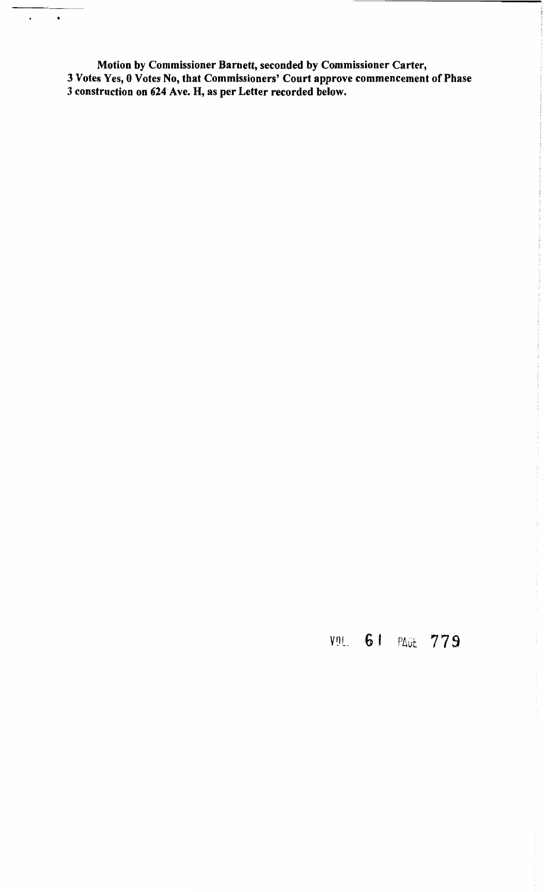Motion by Commissioner Barnett, seconded by Commissioner Carter, 3 Votes Yes, 0 Votes No, that Commissioners' Court approve commencement of Phase 3 construction on 624 Ave. H, as per Letter recorded below.

•

 $\ddot{\phantom{a}}$ 

## VOL. 61 PAUE 779

í.

 $\frac{1}{2}$ 

 $\label{eq:1} \mathcal{F} \left( \mathcal{F} \right) = \mathcal{F} \left( \mathcal{F} \right) = \mathcal{F} \left( \mathcal{F} \right) = \mathcal{F} \left( \mathcal{F} \right)$ 

 $\frac{1}{4}$ 

 $\frac{1}{2}$ 

 $\frac{1}{2}$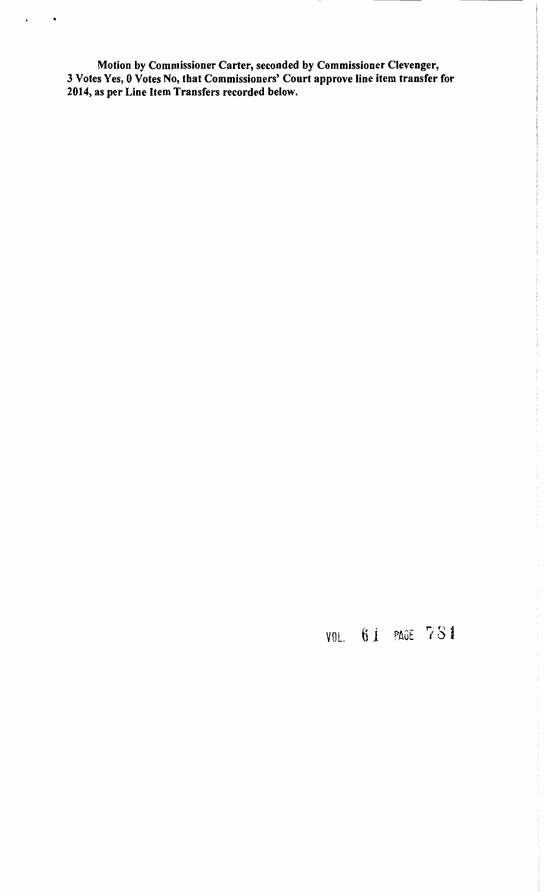Motion by Commissioner Carter, seconded by Commissioner Clevenger,<br>3 Votes Yes, 0 Votes No, that Commissioners' Court approve line item transfer for<br>2014, as per Line Item Transfers recorded below.

 $\bullet$ 

 $\ddot{\phantom{0}}$ 

VOL. 61 PAGE 781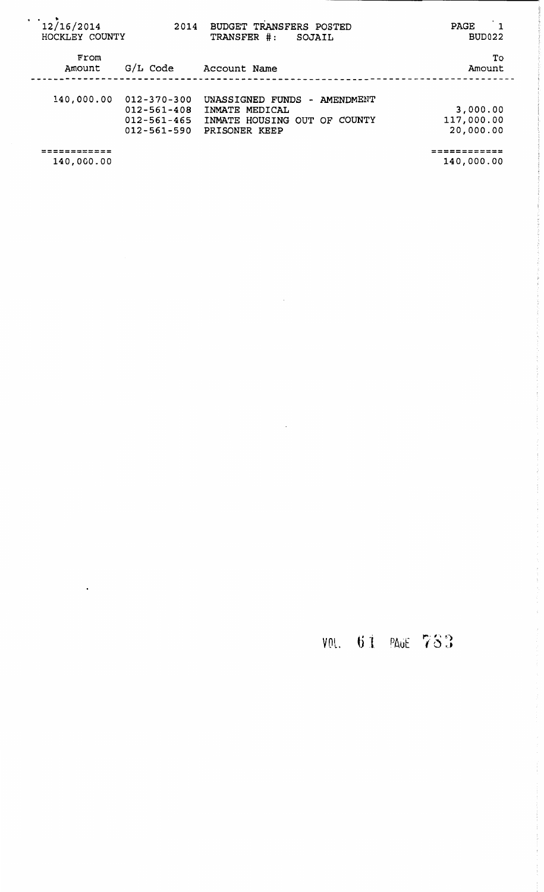| $\cdot$ $\cdot$<br>12/16/2014<br>HOCKLEY COUNTY | 2014                                                                             | <b>BUDGET TRANSFERS POSTED</b><br>TRANSFER #:<br>SOJAIL                                            | $\mathbf 1$<br><b>PAGE</b><br>BUD022    |
|-------------------------------------------------|----------------------------------------------------------------------------------|----------------------------------------------------------------------------------------------------|-----------------------------------------|
| From<br>Amount                                  | G/L Code                                                                         | Account Name                                                                                       | To<br>Amount                            |
| 140,000.00                                      | $012 - 370 - 300$<br>$012 - 561 - 408$<br>$012 - 561 - 465$<br>$012 - 561 - 590$ | UNASSIGNED FUNDS<br>- AMENDMENT<br>INMATE MEDICAL<br>INMATE HOUSING OUT OF COUNTY<br>PRISONER KEEP | 3,000.00<br>117,000.00<br>20,000.00     |
| =========<br>140,000.00                         |                                                                                  |                                                                                                    | - - - - - - - - - - - - -<br>140,000.00 |

 $\sim$   $\sim$ 

 $\langle \rangle$  .

 $\ddot{\phantom{1}}$ 

VOL. 61 PAGE 783

 $\frac{1}{2}$ 

ĵ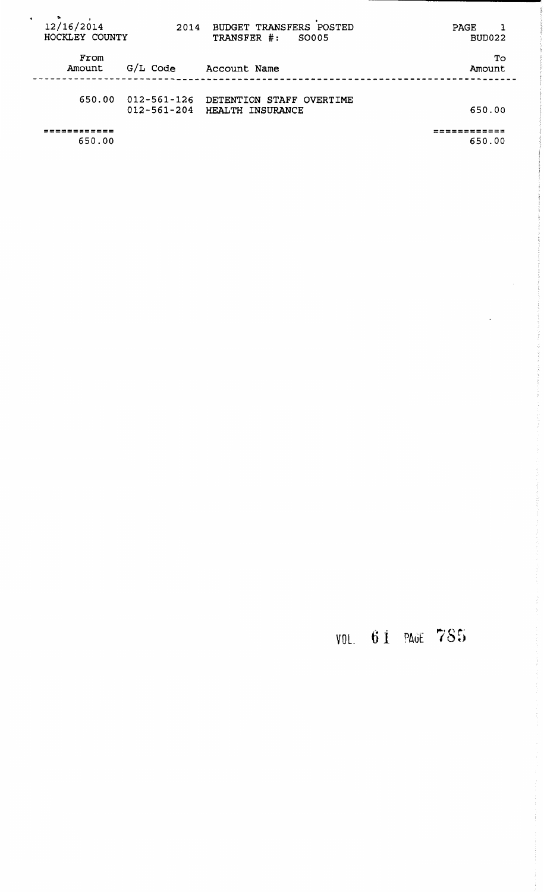| $\bullet$<br>12/16/2014<br>HOCKLEY COUNTY | 2014                             | BUDGET TRANSFERS POSTED<br>TRANSFER #:<br>SO005     | PAGE<br>BUD022 |
|-------------------------------------------|----------------------------------|-----------------------------------------------------|----------------|
| From<br>Amount                            | $G/L$ Code                       | Account Name                                        | To<br>Amount   |
| 650.00                                    | 012-561-126<br>$012 - 561 - 204$ | DETENTION STAFF OVERTIME<br><b>HEALTH INSURANCE</b> | 650.00         |
| 650.00                                    |                                  |                                                     | 650.00         |

## VOL. 61 PAGE 785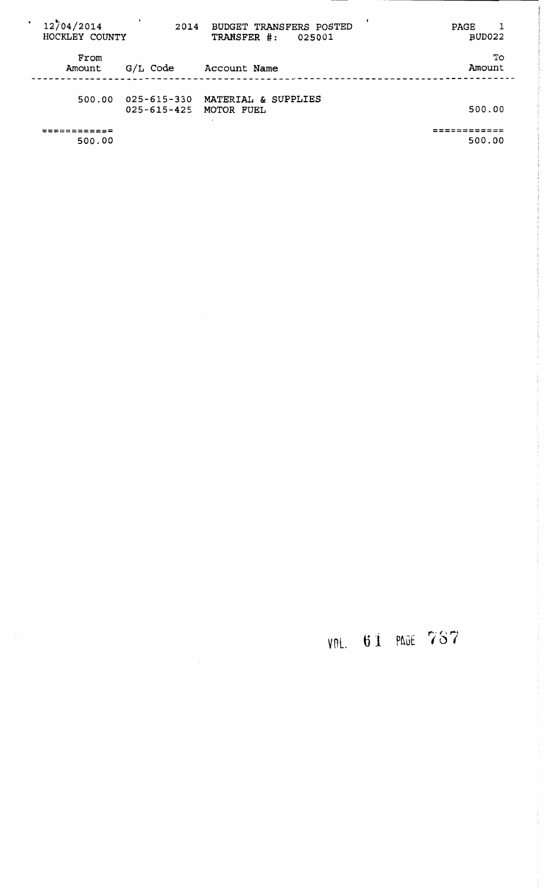| $\bullet$ | 12704/2014<br>HOCKLEY COUNTY | 2014                             | BUDGET TRANSFERS POSTED<br>TRANSFER #:<br>025001 | PAGE<br>BUD022 |
|-----------|------------------------------|----------------------------------|--------------------------------------------------|----------------|
|           | From<br>Amount               | G/L Code                         | Account Name                                     | Tо<br>Amount   |
|           | 500.00                       | 025-615-330<br>$025 - 615 - 425$ | MATERIAL & SUPPLIES<br>MOTOR FUEL                | 500.00         |
|           | 500.00                       |                                  |                                                  | 500.00         |

# VOL. 61 PAGE 787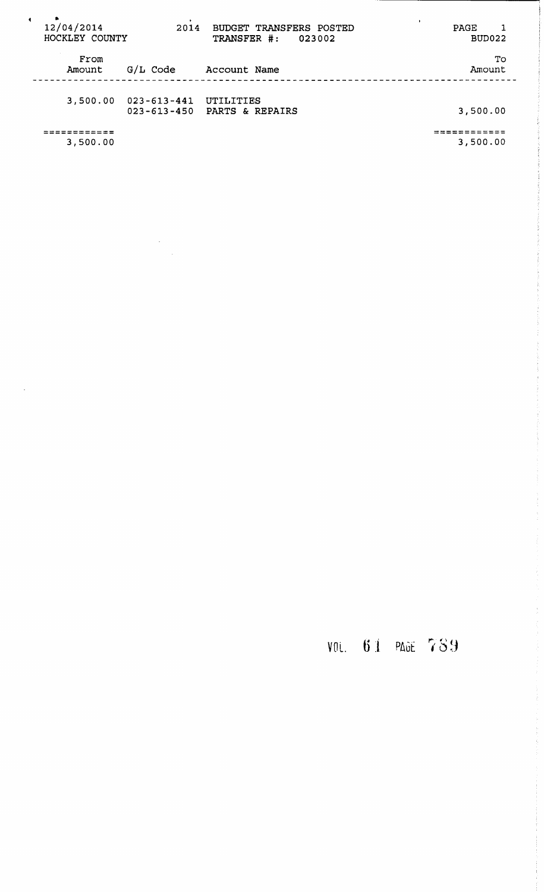| $\blacksquare$ | 12/04/2014<br>HOCKLEY COUNTY | 2014                                   | BUDGET TRANSFERS POSTED<br>TRANSFER #:<br>023002 | PAGE<br>BUD022 |
|----------------|------------------------------|----------------------------------------|--------------------------------------------------|----------------|
|                | From<br>Amount               | $G/L$ Code                             | Account Name                                     | To<br>Amount   |
|                | 3,500.00                     | $023 - 613 - 441$<br>$023 - 613 - 450$ | UTILITIES<br>PARTS & REPAIRS                     | 3,500.00       |
|                | 3,500.00                     |                                        |                                                  | 3,500.00       |

 $\frac{1}{\sqrt{2}}\sum_{i=1}^{n} \frac{1}{i} \sum_{j=1}^{n} \frac{1}{j} \sum_{j=1}^{n} \frac{1}{j} \sum_{j=1}^{n} \frac{1}{j} \sum_{j=1}^{n} \frac{1}{j} \sum_{j=1}^{n} \frac{1}{j} \sum_{j=1}^{n} \frac{1}{j} \sum_{j=1}^{n} \frac{1}{j} \sum_{j=1}^{n} \frac{1}{j} \sum_{j=1}^{n} \frac{1}{j} \sum_{j=1}^{n} \frac{1}{j} \sum_{j=1}^{n} \frac{1}{j} \sum_{j=1$ 

VOL. 61 PAGE 789

医无线性 医大脑皮肤 医皮肤 法无法受害的 法法定的 医小脑

医鼻突出 医心包 医血管 医血管反射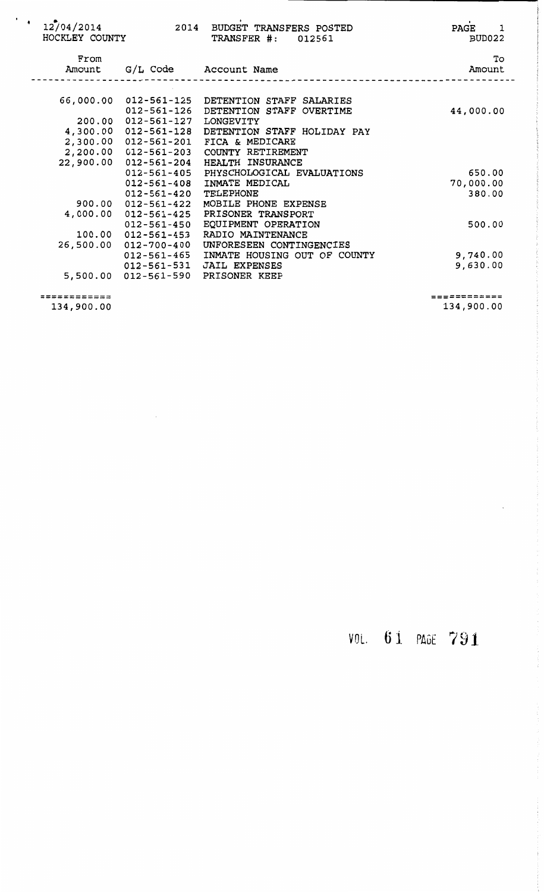| ٠ | 12/04/2014<br>HOCKLEY COUNTY |                                           | 2014 BUDGET TRANSFERS POSTED<br>TRANSFER #:<br>012561                                             | PAGE<br>1<br>BUD022  |
|---|------------------------------|-------------------------------------------|---------------------------------------------------------------------------------------------------|----------------------|
|   | From<br>Amount               |                                           | G/L Code Account Name                                                                             | To<br>Amount         |
|   |                              |                                           | 66,000.00 012-561-125 DETENTION STAFF SALARIES<br>012-561-126 DETENTION STAFF OVERTIME            | 44,000.00            |
|   |                              | 200.00 012-561-127                        | LONGEVITY<br>4,300.00 012-561-128 DETENTION STAFF HOLIDAY PAY                                     |                      |
|   | 22,900.00                    | 2,200.00 012-561-203<br>012-561-204       | 2,300.00 012-561-201 FICA & MEDICARE<br>COUNTY RETIREMENT<br>HEALTH INSURANCE                     |                      |
|   |                              | 012-561-408                               | 012-561-405 PHYSCHOLOGICAL EVALUATIONS<br>INMATE MEDICAL                                          | 650.00<br>70,000.00  |
|   | 4,000.00                     | 012-561-420<br>012-561-425                | TELEPHONE<br>900.00  012-561-422  MOBILE  PHONE EXPENSE<br>PRISONER TRANSPORT                     | 380.00               |
|   |                              | 012-561-450<br>$100.00$ $012 - 561 - 453$ | EQUIPMENT OPERATION<br>RADIO MAINTENANCE                                                          | 500.00               |
|   | 26,500.00                    | 012-700-400                               | UNFORESEEN CONTINGENCIES<br>012-561-465 INMATE HOUSING OUT OF COUNTY<br>012-561-531 JAIL EXPENSES | 9,740.00<br>9,630.00 |
|   |                              |                                           | 5,500.00 012-561-590 PRISONER KEEP                                                                |                      |

------------ ------------ 134,900.00

 $\sim$ 

 $134,900.00$ 

VOL. 6J PAGE 791

 $\label{eq:2.1} \begin{split} \mathcal{L}_{\mathcal{A}}(\mathcal{A})&=\mathcal{A}_{\mathcal{A}}(\mathcal{A})\mathcal{A}_{\mathcal{A}}(\mathcal{A})\mathcal{A}_{\mathcal{A}}(\mathcal{A})\mathcal{A}_{\mathcal{A}}(\mathcal{A})\mathcal{A}_{\mathcal{A}}(\mathcal{A})\mathcal{A}_{\mathcal{A}}(\mathcal{A})\mathcal{A}_{\mathcal{A}}(\mathcal{A})\mathcal{A}_{\mathcal{A}}(\mathcal{A})\mathcal{A}_{\mathcal{A}}(\mathcal{A})\mathcal{A}_{\mathcal{A}}(\mathcal{A})\mathcal{A}_{\$ 

 $\mathcal{L}_{\mathcal{A}}$  , we are not true.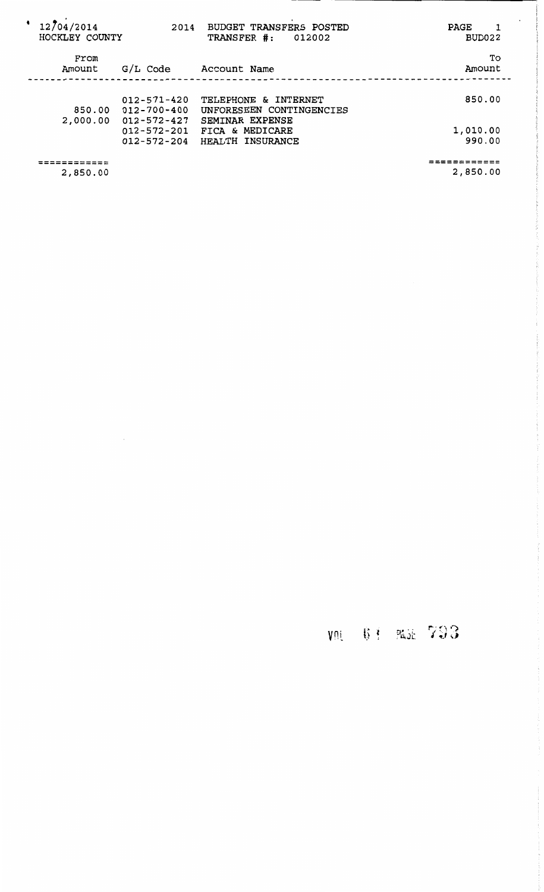| 12/04/2014<br>HOCKLEY COUNTY | 2014                                                        | BUDGET TRANSFERS POSTED<br>TRANSFER #:<br>012002       | PAGE<br>BUD022           |
|------------------------------|-------------------------------------------------------------|--------------------------------------------------------|--------------------------|
| From<br>Amount               | G/L Code                                                    | Account Name                                           | To<br>Amount             |
| 850.00                       | $012 - 571 - 420$<br>012-700-400                            | TELEPHONE & INTERNET<br>UNFORESEEN CONTINGENCIES       | 850.00                   |
| 2,000.00                     | $012 - 572 - 427$<br>$012 - 572 - 201$<br>$012 - 572 - 204$ | SEMINAR EXPENSE<br>FICA & MEDICARE<br>HEALTH INSURANCE | 1,010.00<br>990.00       |
| ==========<br>2,850.00       |                                                             |                                                        | ============<br>2,850.00 |

 $\bar{\beta}$ 

## $\gamma$ <sup>*n*</sup> **6**<sup> $\pm$ </sup>  $\gamma$   $\gamma$   $\gamma$   $\gamma$   $\gamma$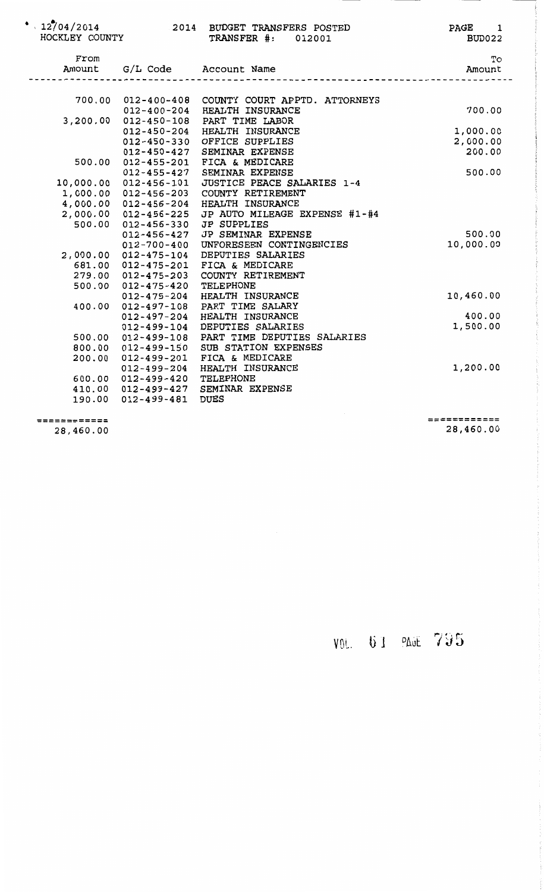| $^*$ \ 12/04/2014<br>HOCKLEY COUNTY |                                          | 2014 BUDGET TRANSFERS POSTED<br>TRANSFER #: 012001 | PAGE 1<br>BUD022 |
|-------------------------------------|------------------------------------------|----------------------------------------------------|------------------|
| From<br>Amount                      |                                          | G/L Code Account Name                              | To<br>Amount     |
|                                     |                                          |                                                    |                  |
|                                     | 700.00 012-400-408                       | COUNTY COURT APPTD. ATTORNEYS<br>HEALTH INSURANCE  | 700.00           |
|                                     | 012-400-204<br>3,200.00 012-450-108      | PART TIME LABOR                                    |                  |
|                                     | $012 - 450 - 204$                        | HEALTH INSURANCE                                   | 1,000.00         |
|                                     | $012 - 450 - 330$                        | OFFICE SUPPLIES                                    | 2,000.00         |
|                                     | $012 - 450 - 427$                        | SEMINAR EXPENSE                                    | 200.00           |
|                                     | 500.00 012-455-201                       | FICA & MEDICARE                                    |                  |
|                                     | $012 - 455 - 427$                        | SEMINAR EXPENSE                                    | 500.00           |
|                                     | 10,000.00 012-456-101                    | JUSTICE PEACE SALARIES 1-4                         |                  |
|                                     | 1,000.00 012-456-203                     | COUNTY RETIREMENT                                  |                  |
|                                     | 4,000.00 012-456-204                     | HEALTH INSURANCE                                   |                  |
|                                     | 2,000.00 012-456-225                     | JP AUTO MILEAGE EXPENSE #1-#4                      |                  |
| 500.00                              | $012 - 456 - 330$                        | <b>JP SUPPLIES</b>                                 |                  |
|                                     | $012 - 456 - 427$                        | JP SEMINAR EXPENSE                                 | 500.00           |
|                                     | $012 - 700 - 400$                        | UNFORESEEN CONTINGENCIES                           | 10,000.00        |
|                                     | 2,000.00 012-475-104                     | DEPUTIES SALARIES                                  |                  |
|                                     | 681.00 012-475-201                       | FICA & MEDICARE                                    |                  |
|                                     | 279.00 012-475-203                       | COUNTY RETIREMENT                                  |                  |
|                                     | 500.00 012-475-420                       | TELEPHONE                                          |                  |
|                                     | $012 - 475 - 204$                        | HEALTH INSURANCE                                   | 10,460.00        |
| 400.00                              | $012 - 497 - 108$                        | PART TIME SALARY                                   |                  |
|                                     | $012 - 497 - 204$                        | HEALTH INSURANCE                                   | 400.00           |
|                                     | $012 - 499 - 104$                        | DEPUTIES SALARIES                                  | 1,500.00         |
|                                     | 500.00 012-499-108                       | PART TIME DEPUTIES SALARIES                        |                  |
| 800.00                              | 012-499-150                              | SUB STATION EXPENSES                               |                  |
| 200.00                              | 012-499-201                              | FICA & MEDICARE                                    | 1,200.00         |
|                                     | 012-499-204                              | HEALTH INSURANCE<br>TELEPHONE                      |                  |
|                                     | 600.00 012-499-420<br>410.00 012-499-427 | SEMINAR EXPENSE                                    |                  |
|                                     | 190.00 012-499-481                       | <b>DUES</b>                                        |                  |
|                                     |                                          |                                                    |                  |
|                                     |                                          |                                                    |                  |

------------ ------------ 28,460.00

==;========= 28,460.00

VOL. 61 PAGE 795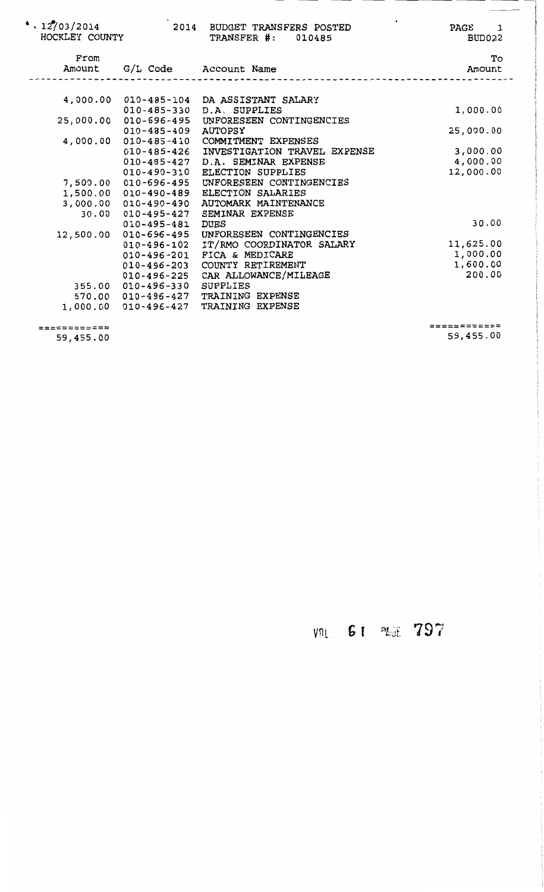| $^*$ , 12/03/2014<br>HOCKLEY COUNTY |                       | 2014 BUDGET TRANSFERS POSTED<br><b>TRANSFER #: 010485</b> | PAGE<br>$\overline{\phantom{a}}$<br>BUD022 |
|-------------------------------------|-----------------------|-----------------------------------------------------------|--------------------------------------------|
| From<br>Amount                      |                       | G/L Code Account Name                                     | To<br>Amount                               |
|                                     | 4,000.00 010-485-104  | DA ASSISTANT SALARY                                       |                                            |
|                                     | $010 - 485 - 330$     | D.A. SUPPLIES                                             | 1,000.00                                   |
|                                     | 25,000.00 010-696-495 | UNFORESEEN CONTINGENCIES                                  |                                            |
|                                     | $010 - 485 - 409$     | AUTOPSY                                                   | 25,000.00                                  |
| 4,000.00                            | 010-485-410           | COMMITMENT EXPENSES                                       |                                            |
|                                     | 010-485-426           | INVESTIGATION TRAVEL EXPENSE                              | 3,000.00                                   |
|                                     | 010-485-427           | D.A. SEMINAR EXPENSE                                      | 4,000.00                                   |
|                                     | 010-490-310           | <b>ELECTION SUPPLIES</b>                                  | 12,000.00                                  |
| 7,500.00                            | 010-696-495           | UNFORESEEN CONTINGENCIES                                  |                                            |
| 1,500.00                            | 010-490-489           | ELECTION SALARIES                                         |                                            |
|                                     | 3,000.00 010-490-490  | AUTOMARK MAINTENANCE                                      |                                            |
| 30.00                               | 010-495-427           | SEMINAR EXPENSE                                           |                                            |
|                                     | $010 - 495 - 481$     | <b>DUES</b>                                               | 30.00                                      |
| 12,500.00                           | 010-696-495           | UNFORESEEN CONTINGENCIES                                  |                                            |
|                                     | $010 - 496 - 102$     | IT/RMO COORDINATOR SALARY                                 | 11,625.00                                  |
|                                     | 010-496-201           | FICA & MEDICARE                                           | 1,000.00                                   |
|                                     | $010 - 496 - 203$     | COUNTY RETIREMENT                                         | 1,600.00                                   |
|                                     | 010-496-225           | CAR ALLOWANCE/MILEAGE                                     | 200.00                                     |
|                                     | 355.00 010-496-330    | SUPPLIES                                                  |                                            |
|                                     | 570.00 010-496-427    | TRAINING EXPENSE                                          |                                            |
| 1,000.00                            | 010-496-427           | TRAINING EXPENSE                                          |                                            |
|                                     |                       |                                                           |                                            |

=========;;;:;== 59,455.00 ============ 59,455.00 -

## **G t** *mz* . ·- ' ... ,,\_,,i.. ........ L **797**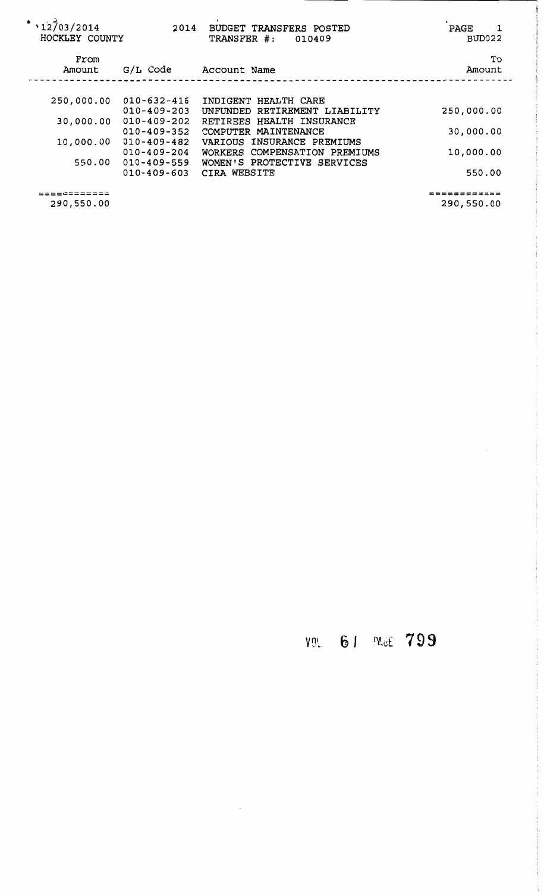| ٠<br>12703/2014<br>HOCKLEY COUNTY | 2014              | BUDGET TRANSFERS POSTED<br>TRANSFER #:<br>010409 | PAGE<br>BUD022 |
|-----------------------------------|-------------------|--------------------------------------------------|----------------|
| From<br>Amount                    | G/L Code          | Account Name                                     | Tо<br>Amount   |
|                                   |                   |                                                  |                |
| 250,000.00                        | $010 - 632 - 416$ | INDIGENT HEALTH CARE                             |                |
|                                   | $010 - 409 - 203$ | UNFUNDED RETIREMENT LIABILITY                    | 250,000.00     |
| 30,000.00                         | $010 - 409 - 202$ | RETIREES HEALTH INSURANCE                        |                |
|                                   | $010 - 409 - 352$ | COMPUTER MAINTENANCE                             | 30,000.00      |
| 10,000.00                         | $010 - 409 - 482$ | VARIOUS INSURANCE PREMIUMS                       |                |
|                                   | $010 - 409 - 204$ | WORKERS COMPENSATION PREMIUMS                    | 10,000.00      |
| 550.00                            | $010 - 409 - 559$ | WOMEN'S PROTECTIVE SERVICES                      |                |
|                                   | $010 - 409 - 603$ | CIRA WEBSITE                                     | 550.00         |
| =========                         |                   |                                                  | -----------    |
| 290 550 AA                        |                   |                                                  | 290 550 00     |

 $\hat{\mathcal{L}}$ 

## VOL 61 PAGE 799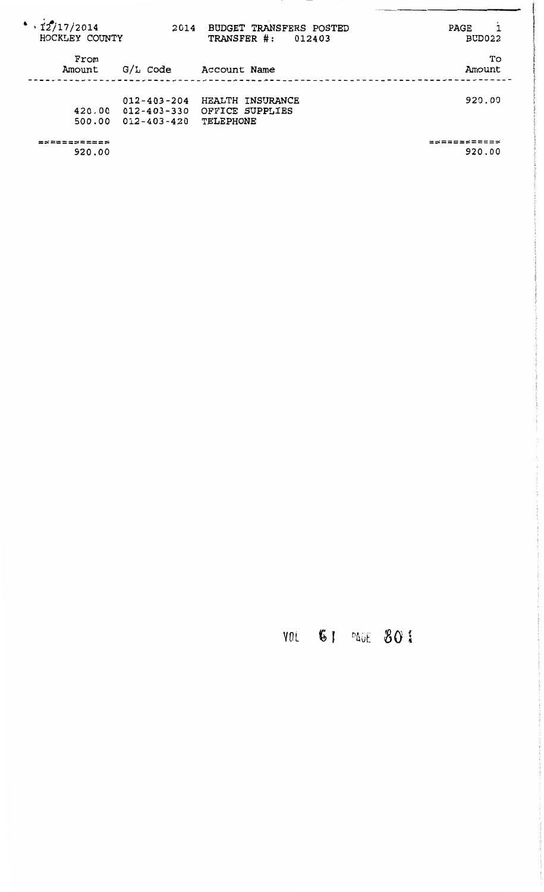| $\cdot$ 12/17/2014<br>HOCKLEY COUNTY | 2014                                                        | <b>BUDGET TRANSFERS POSTED</b><br>TRANSFER #:<br>012403 | PAGE<br>BUD022 |
|--------------------------------------|-------------------------------------------------------------|---------------------------------------------------------|----------------|
| From<br>Amount                       | G/L Code                                                    | Account Name                                            | Тo<br>Amount   |
| 420.00<br>500.00                     | $012 - 403 - 204$<br>$012 - 403 - 330$<br>$012 - 403 - 420$ | HEALTH INSURANCE<br>OFFICE SUPPLIES<br>TELEPHONE        | 920.00         |
|                                      |                                                             |                                                         |                |

920.00

920.00

## VOL 61 PAGE 801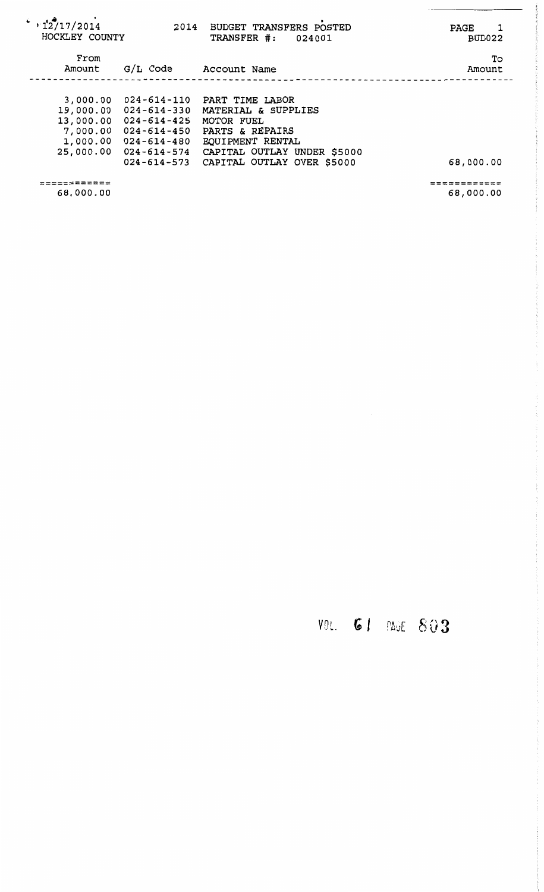| $\cdot$ , 12/17/2014<br>HOCKLEY COUNTY                     | 2014                                                                                                                        | BUDGET TRANSFERS POSTED<br>TRANSFER #:<br>024001                                                                                                         | <b>PAGE</b><br>BUD022 |
|------------------------------------------------------------|-----------------------------------------------------------------------------------------------------------------------------|----------------------------------------------------------------------------------------------------------------------------------------------------------|-----------------------|
| From<br>Amount                                             | G/L Code                                                                                                                    | Account Name                                                                                                                                             | To<br>Amount          |
| 3,000.00<br>19,000.00<br>7,000.00<br>1,000.00<br>25,000.00 | 024-614-110<br>024-614-330<br>13,000.00 024-614-425<br>$024 - 614 - 450$<br>024-614-480<br>$024 - 614 - 574$<br>024-614-573 | PART TIME LABOR<br>MATERIAL & SUPPLIES<br>MOTOR FUEL<br>PARTS & REPAIRS<br>EQUIPMENT RENTAL<br>CAPITAL OUTLAY UNDER \$5000<br>CAPITAL OUTLAY OVER \$5000 | 68,000.00             |

------------ ------------ 68,000.00

=========::== 68,000.00

 $\frac{1}{2}$ 

 $\mu\nu$  and  $\mu$  and  $\mu$ 

## VOL. **GI** PAGE 803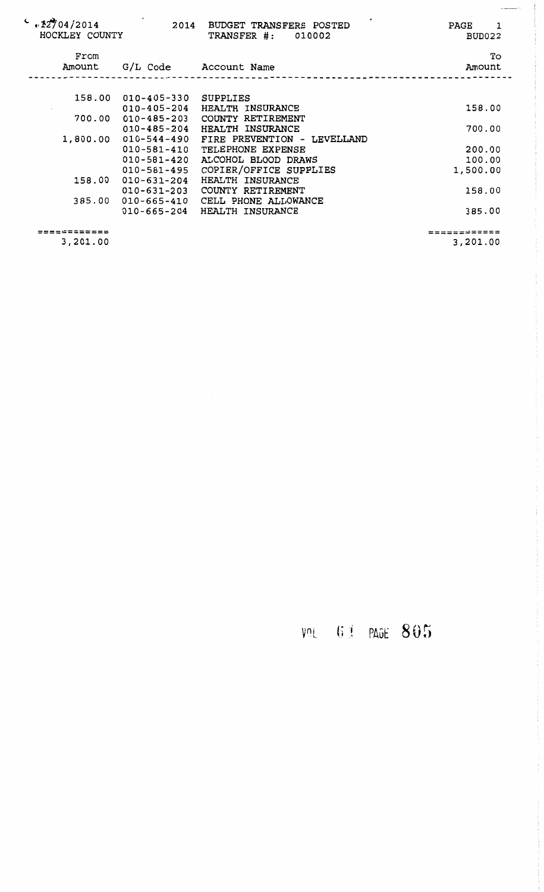| $\frac{1}{20}$ $\frac{12704}{2014}$<br>HOCKLEY COUNTY | 2014                        | BUDGET TRANSFERS POSTED<br>TRANSFER #: 010002      | PAGE<br>$\overline{\phantom{a}}$<br>BUD022 |
|-------------------------------------------------------|-----------------------------|----------------------------------------------------|--------------------------------------------|
| From                                                  |                             |                                                    | To                                         |
| Amount                                                |                             | G/L Code Account Name                              | Amount                                     |
|                                                       |                             |                                                    |                                            |
|                                                       | 158.00 010-405-330 SUPPLIES |                                                    |                                            |
|                                                       | $010 - 405 - 204$           | HEALTH INSURANCE                                   | 158.00                                     |
|                                                       |                             | 700.00  010-485-203  COUNTY RETIREMENT             |                                            |
|                                                       | $010 - 485 - 204$           | HEALTH INSURANCE                                   | 700.00                                     |
|                                                       |                             | 1,800.00  010-544-490  FIRE PREVENTION - LEVELLAND |                                            |
|                                                       | $010 - 581 - 410$           | TELEPHONE EXPENSE                                  | 200.00                                     |
|                                                       | $010 - 581 - 420$           | ALCOHOL BLOOD DRAWS                                | 100.00                                     |
|                                                       | $010 - 581 - 495$           | COPIER/OFFICE SUPPLIES                             | 1,500.00                                   |
| 158.00                                                | 010-631-204                 | HEALTH INSURANCE                                   |                                            |
|                                                       |                             | 010-631-203 COUNTY RETIREMENT                      | 158.00                                     |
|                                                       |                             | 385.00 010-665-410 CELL PHONE ALLOWANCE            |                                            |
|                                                       |                             |                                                    |                                            |
|                                                       | $010 - 665 - 204$           | HEALTH INSURANCE                                   | 385.00                                     |
| =========                                             |                             |                                                    | ===========                                |
|                                                       |                             |                                                    |                                            |

3,201.00

3,201.00

VOL 61 PAGE 805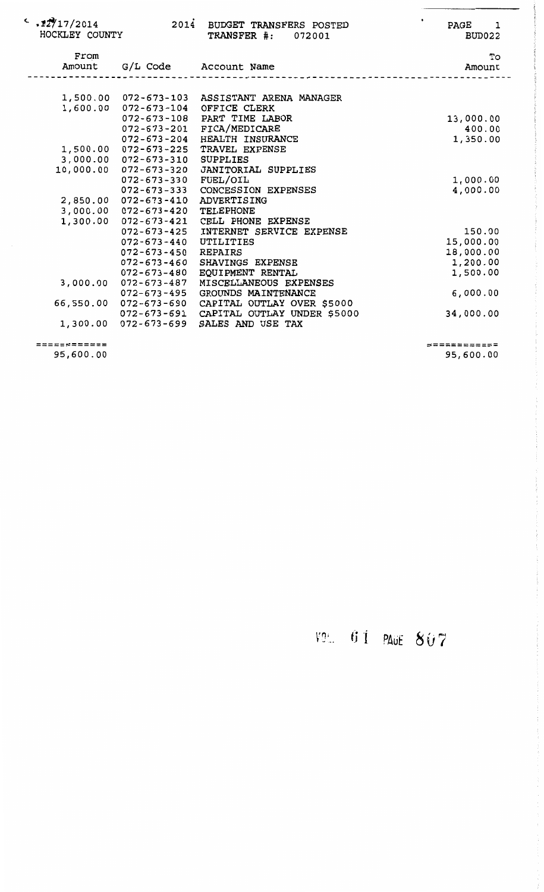| $\sim 12/17/2014$<br>HOCKLEY COUNTY | 2014                                                                    | BUDGET TRANSFERS POSTED<br><b>TRANSFER #: 072001</b>                                         | PAGE<br>$\overline{\phantom{0}}$<br>BUD022 |
|-------------------------------------|-------------------------------------------------------------------------|----------------------------------------------------------------------------------------------|--------------------------------------------|
| From<br>Amount                      |                                                                         | G/L Code Account Name                                                                        | To<br>Amount                               |
|                                     | 1,500.00 072-673-103<br>1,600.00 072-673-104                            | ASSISTANT ARENA MANAGER<br>OFFICE CLERK                                                      |                                            |
|                                     | $072 - 673 - 201$<br>$072 - 673 - 204$                                  | 072-673-108 PART TIME LABOR<br>FICA/MEDICARE<br>HEALTH INSURANCE                             | 13,000.00<br>400.00<br>1,350.00            |
|                                     | 1,500.00 072-673-225<br>$3,000.00 072 - 673 - 310$<br>072-673-320       | TRAVEL EXPENSE<br>SUPPLIES<br>JANITORIAL SUPPLIES                                            |                                            |
| 10,000.00                           | $072 - 673 - 330$<br>$072 - 673 - 333$                                  | FUEL/OIL<br><b>CONCESSION EXPENSES</b>                                                       | 1,000.00<br>4,000.00                       |
| 1,300.00                            | 2,850.00 072-673-410<br>$3,000.00 072 - 673 - 420$<br>$072 - 673 - 421$ | ADVERTISING<br>TELEPHONE<br>CELL PHONE EXPENSE                                               |                                            |
|                                     | $072 - 673 - 425$<br>$072 - 673 - 440$<br>$072 - 673 - 450$             | INTERNET SERVICE EXPENSE<br>UTILITIES<br>REPAIRS                                             | 150.00<br>15,000.00<br>18,000.00           |
| 3,000.00                            | $072 - 673 - 460$<br>$072 - 673 - 480$<br>$072 - 673 - 487$             | SHAVINGS EXPENSE<br>EQUIPMENT RENTAL<br>MISCELLANEOUS EXPENSES                               | 1,200.00<br>1,500.00                       |
| 66,550.00                           | $072 - 673 - 495$<br>$072 - 673 - 690$                                  | GROUNDS MAINTENANCE<br>CAPITAL OUTLAY OVER \$5000<br>072-673-691 CAPITAL OUTLAY UNDER \$5000 | 6,000.00<br>34,000.00                      |
|                                     | 1,300.00 072-673-699                                                    | SALES AND USE TAX                                                                            |                                            |

============

============ 95,600.00

95,600.00

f .. 1· J . PAuE 8 *U* 7